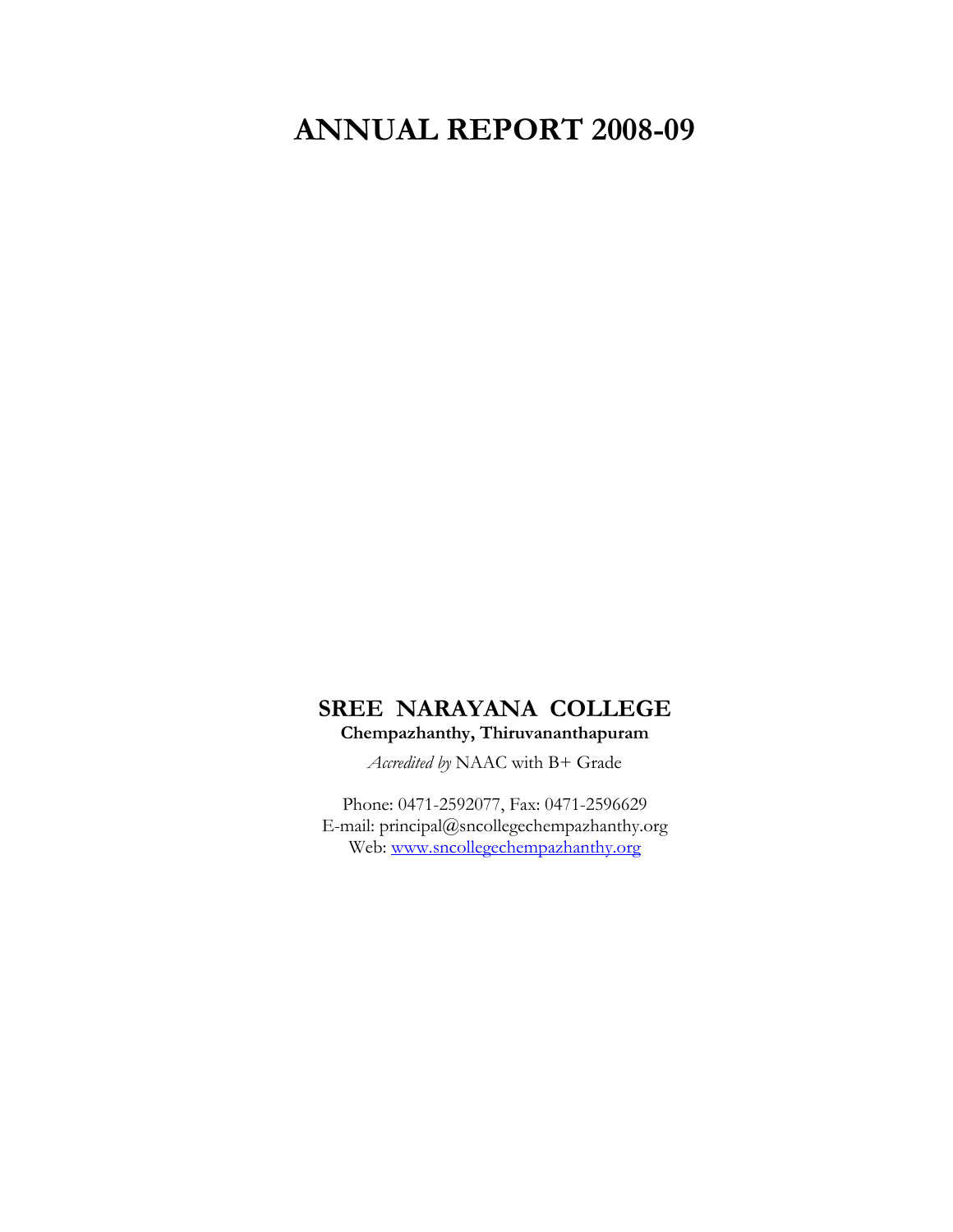# **ANNUAL REPORT 2008-09**

# **SREE NARAYANA COLLEGE Chempazhanthy, Thiruvananthapuram**

*Accredited by* NAAC with B+ Grade

Phone: 0471-2592077, Fax: 0471-2596629 E-mail: principal@sncollegechempazhanthy.org Web: [www.sncollegechempazhanthy.org](http://www.sncollegechempazhanthy.org/)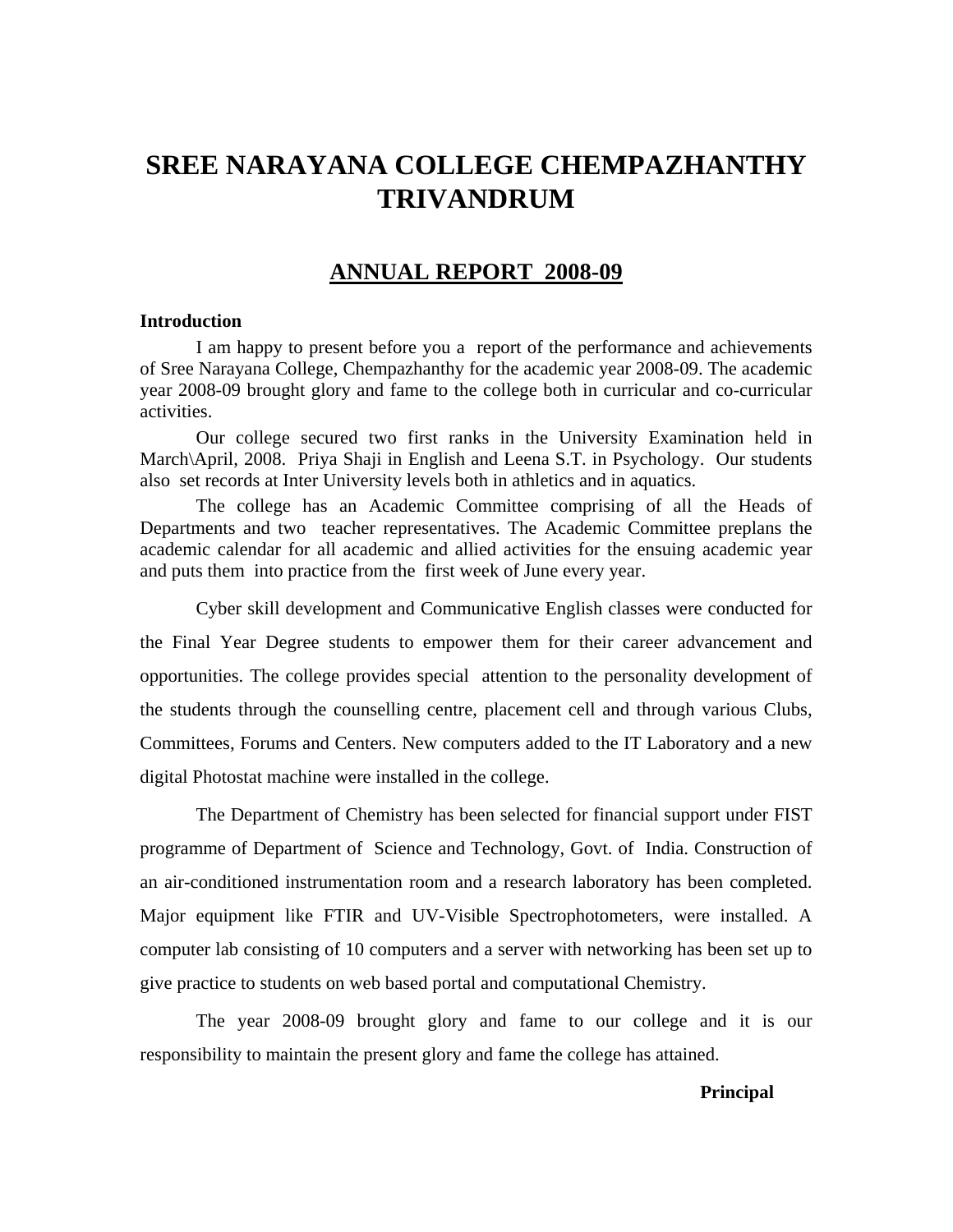# **SREE NARAYANA COLLEGE CHEMPAZHANTHY TRIVANDRUM**

# **ANNUAL REPORT 2008-09**

#### **Introduction**

I am happy to present before you a report of the performance and achievements of Sree Narayana College, Chempazhanthy for the academic year 2008-09. The academic year 2008-09 brought glory and fame to the college both in curricular and co-curricular activities.

Our college secured two first ranks in the University Examination held in March\April, 2008. Priya Shaji in English and Leena S.T. in Psychology. Our students also set records at Inter University levels both in athletics and in aquatics.

 The college has an Academic Committee comprising of all the Heads of Departments and two teacher representatives. The Academic Committee preplans the academic calendar for all academic and allied activities for the ensuing academic year and puts them into practice from the first week of June every year.

Cyber skill development and Communicative English classes were conducted for the Final Year Degree students to empower them for their career advancement and opportunities. The college provides special attention to the personality development of the students through the counselling centre, placement cell and through various Clubs, Committees, Forums and Centers. New computers added to the IT Laboratory and a new digital Photostat machine were installed in the college.

The Department of Chemistry has been selected for financial support under FIST programme of Department of Science and Technology, Govt. of India. Construction of an air-conditioned instrumentation room and a research laboratory has been completed. Major equipment like FTIR and UV-Visible Spectrophotometers, were installed. A computer lab consisting of 10 computers and a server with networking has been set up to give practice to students on web based portal and computational Chemistry.

The year 2008-09 brought glory and fame to our college and it is our responsibility to maintain the present glory and fame the college has attained.

#### **Principal**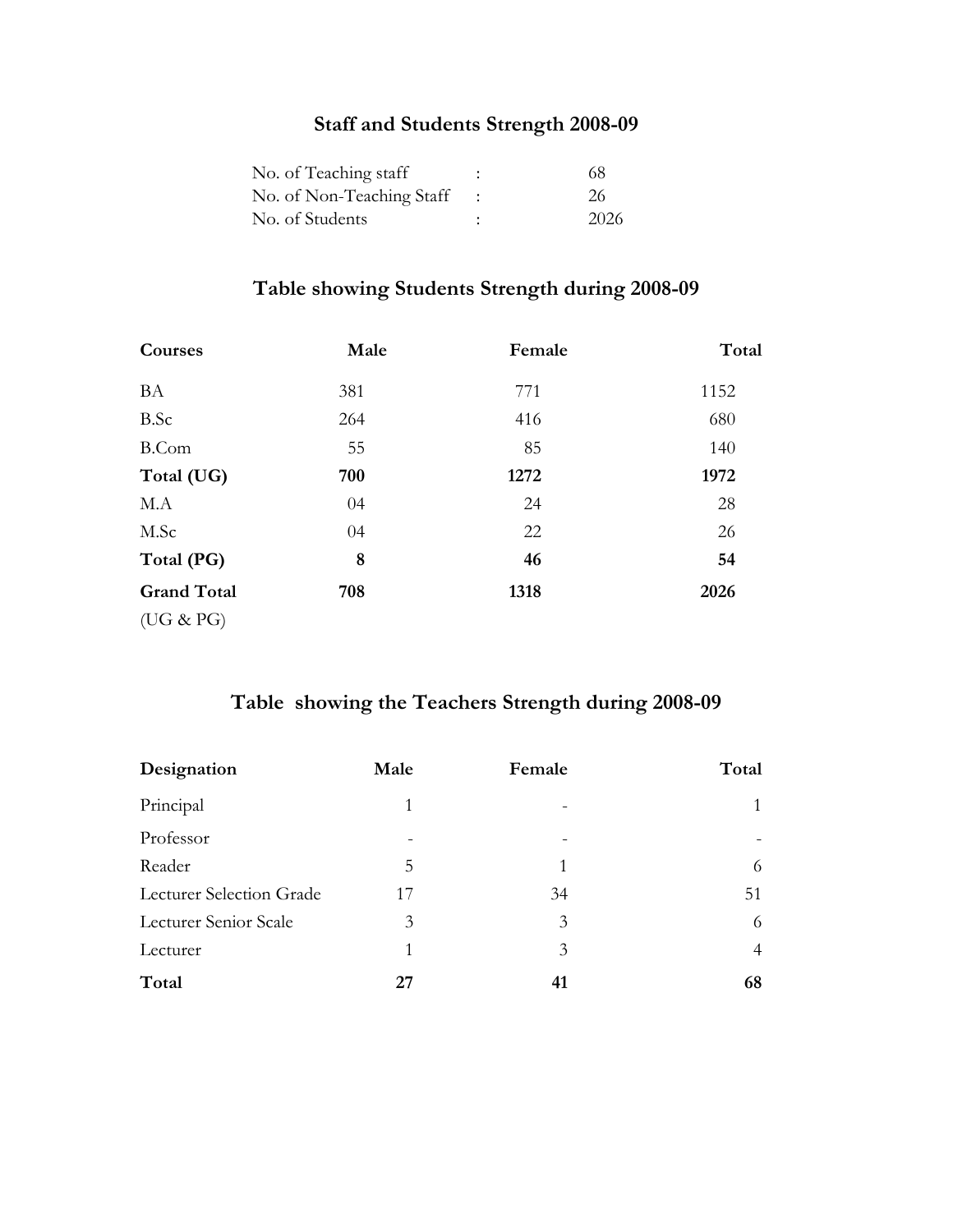# **Staff and Students Strength 2008-09**

| No. of Teaching staff                  | 68   |
|----------------------------------------|------|
| No. of Non-Teaching Staff $\therefore$ | 26   |
| No. of Students                        | 2026 |

# **Table showing Students Strength during 2008-09**

| Courses            | Male | Female | Total |
|--------------------|------|--------|-------|
| <b>BA</b>          | 381  | 771    | 1152  |
| <b>B.Sc</b>        | 264  | 416    | 680   |
| <b>B.Com</b>       | 55   | 85     | 140   |
| Total (UG)         | 700  | 1272   | 1972  |
| M.A                | 04   | 24     | 28    |
| M.Sc               | 04   | 22     | 26    |
| Total (PG)         | 8    | 46     | 54    |
| <b>Grand Total</b> | 708  | 1318   | 2026  |
| (UG & PG)          |      |        |       |

# **Table showing the Teachers Strength during 2008-09**

| Designation              | Male | Female | Total          |
|--------------------------|------|--------|----------------|
| Principal                | 1    |        |                |
| Professor                |      |        |                |
| Reader                   | 5    | 1      | 6              |
| Lecturer Selection Grade | 17   | 34     | 51             |
| Lecturer Senior Scale    | 3    | 3      | 6              |
| Lecturer                 | 1    | 3      | $\overline{4}$ |
| Total                    | 27   |        | 68             |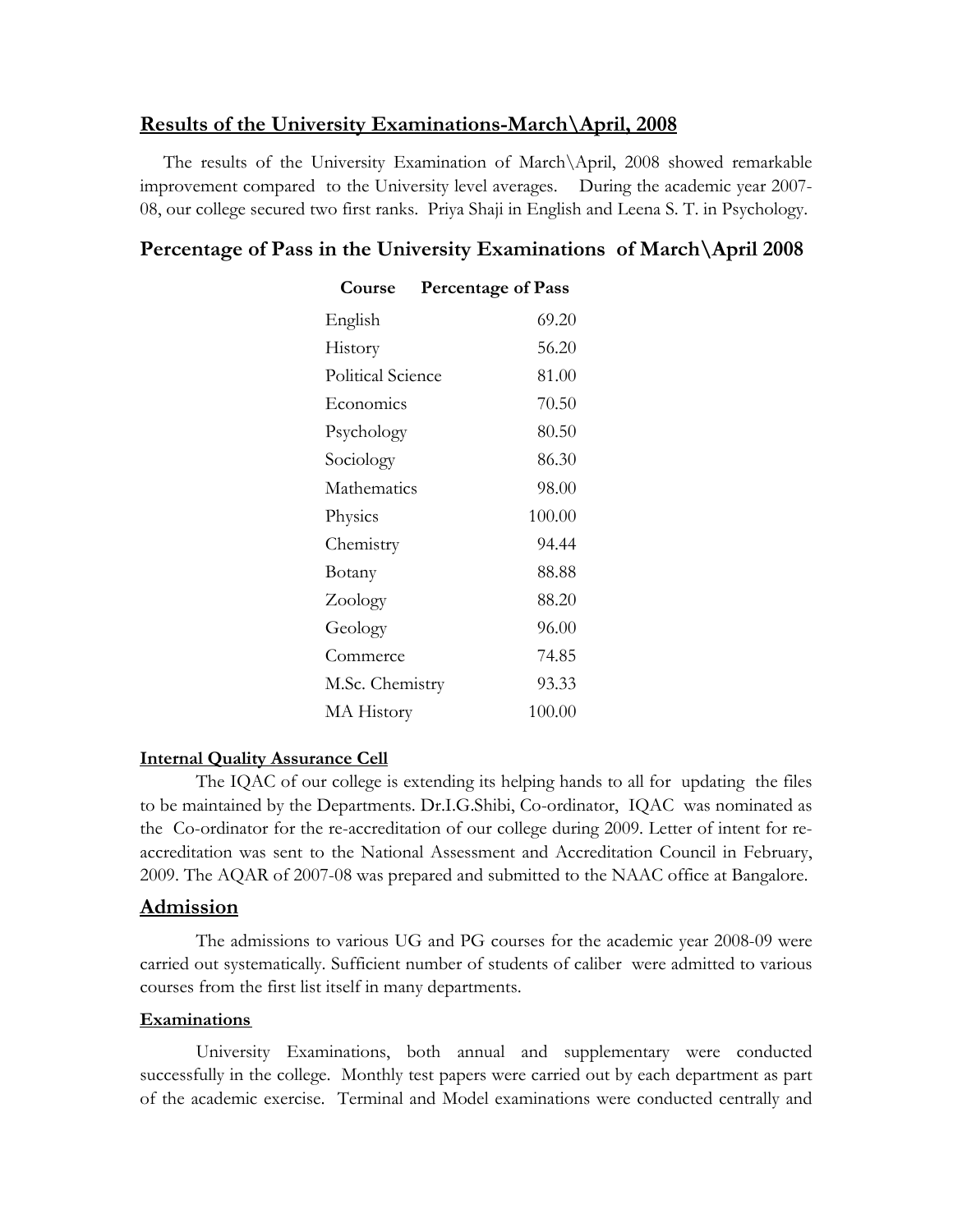# **Results of the University Examinations-March\April, 2008**

 The results of the University Examination of March\April, 2008 showed remarkable improvement compared to the University level averages. During the academic year 2007- 08, our college secured two first ranks. Priya Shaji in English and Leena S. T. in Psychology.

# **Percentage of Pass in the University Examinations of March\April 2008**

| Course            | <b>Percentage of Pass</b> |
|-------------------|---------------------------|
| English           | 69.20                     |
| History           | 56.20                     |
| Political Science | 81.00                     |
| Economics         | 70.50                     |
| Psychology        | 80.50                     |
| Sociology         | 86.30                     |
| Mathematics       | 98.00                     |
| Physics           | 100.00                    |
| Chemistry         | 94.44                     |
| Botany            | 88.88                     |
| Zoology           | 88.20                     |
| Geology           | 96.00                     |
| Commerce          | 74.85                     |
| M.Sc. Chemistry   | 93.33                     |
| <b>MA</b> History | 100.00                    |

### **Internal Quality Assurance Cell**

 The IQAC of our college is extending its helping hands to all for updating the files to be maintained by the Departments. Dr.I.G.Shibi, Co-ordinator, IQAC was nominated as the Co-ordinator for the re-accreditation of our college during 2009. Letter of intent for reaccreditation was sent to the National Assessment and Accreditation Council in February, 2009. The AQAR of 2007-08 was prepared and submitted to the NAAC office at Bangalore.

### **Admission**

 The admissions to various UG and PG courses for the academic year 2008-09 were carried out systematically. Sufficient number of students of caliber were admitted to various courses from the first list itself in many departments.

#### **Examinations**

University Examinations, both annual and supplementary were conducted successfully in the college. Monthly test papers were carried out by each department as part of the academic exercise. Terminal and Model examinations were conducted centrally and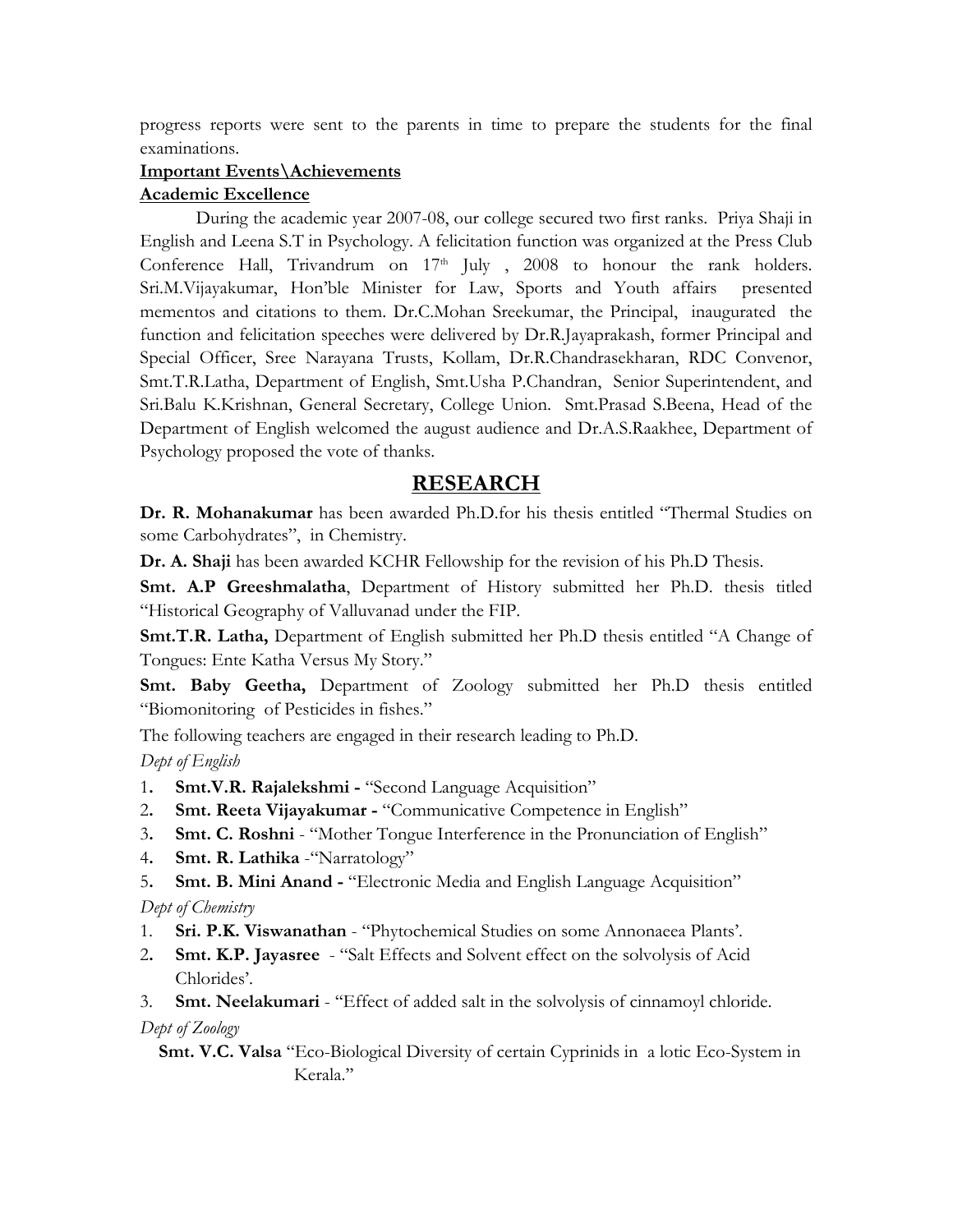progress reports were sent to the parents in time to prepare the students for the final examinations.

### **Important Events\Achievements**

#### **Academic Excellence**

During the academic year 2007-08, our college secured two first ranks. Priya Shaji in English and Leena S.T in Psychology. A felicitation function was organized at the Press Club Conference Hall, Trivandrum on  $17<sup>th</sup>$  July, 2008 to honour the rank holders. Sri.M.Vijayakumar, Hon'ble Minister for Law, Sports and Youth affairs presented mementos and citations to them. Dr.C.Mohan Sreekumar, the Principal, inaugurated the function and felicitation speeches were delivered by Dr.R.Jayaprakash, former Principal and Special Officer, Sree Narayana Trusts, Kollam, Dr.R.Chandrasekharan, RDC Convenor, Smt.T.R.Latha, Department of English, Smt.Usha P.Chandran, Senior Superintendent, and Sri.Balu K.Krishnan, General Secretary, College Union. Smt.Prasad S.Beena, Head of the Department of English welcomed the august audience and Dr.A.S.Raakhee, Department of Psychology proposed the vote of thanks.

## **RESEARCH**

**Dr. R. Mohanakumar** has been awarded Ph.D.for his thesis entitled "Thermal Studies on some Carbohydrates", in Chemistry.

**Dr. A. Shaji** has been awarded KCHR Fellowship for the revision of his Ph.D Thesis.

**Smt. A.P Greeshmalatha**, Department of History submitted her Ph.D. thesis titled "Historical Geography of Valluvanad under the FIP.

**Smt.T.R. Latha,** Department of English submitted her Ph.D thesis entitled "A Change of Tongues: Ente Katha Versus My Story."

**Smt. Baby Geetha,** Department of Zoology submitted her Ph.D thesis entitled "Biomonitoring of Pesticides in fishes."

The following teachers are engaged in their research leading to Ph.D.

*Dept of English* 

- 1**. Smt.V.R. Rajalekshmi -** "Second Language Acquisition"
- 2**. Smt. Reeta Vijayakumar -** "Communicative Competence in English"
- 3**. Smt. C. Roshni** "Mother Tongue Interference in the Pronunciation of English"
- 4**. Smt. R. Lathika** -"Narratology"
- 5**. Smt. B. Mini Anand -** "Electronic Media and English Language Acquisition"

*Dept of Chemistry* 

- 1. **Sri. P.K. Viswanathan**  "Phytochemical Studies on some Annonaeea Plants'.
- 2**. Smt. K.P. Jayasree**  "Salt Effects and Solvent effect on the solvolysis of Acid Chlorides'.

3. **Smt. Neelakumari** - ''Effect of added salt in the solvolysis of cinnamoyl chloride. *Dept of Zoology* 

# **Smt. V.C. Valsa** "Eco-Biological Diversity of certain Cyprinids in a lotic Eco-System in Kerala.''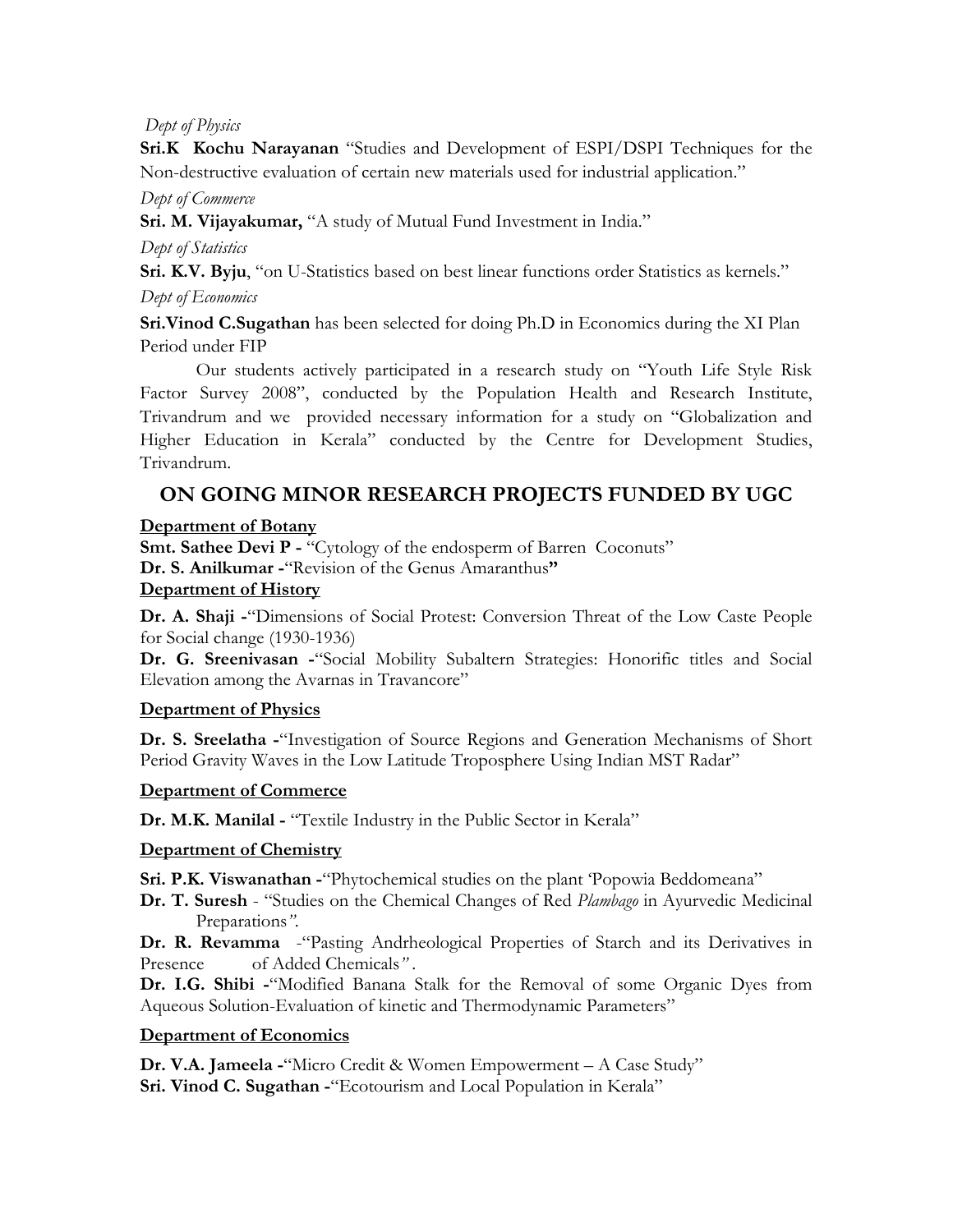## *Dept of Physics*

**Sri.K Kochu Narayanan** "Studies and Development of ESPI/DSPI Techniques for the Non-destructive evaluation of certain new materials used for industrial application."

### *Dept of Commerce*

**Sri. M. Vijayakumar,** "A study of Mutual Fund Investment in India."

*Dept of Statistics* 

**Sri. K.V. Byju**, "on U-Statistics based on best linear functions order Statistics as kernels." *Dept of Economics* 

**Sri.Vinod C.Sugathan** has been selected for doing Ph.D in Economics during the XI Plan Period under FIP

 Our students actively participated in a research study on "Youth Life Style Risk Factor Survey 2008", conducted by the Population Health and Research Institute, Trivandrum and we provided necessary information for a study on "Globalization and Higher Education in Kerala" conducted by the Centre for Development Studies, Trivandrum.

# **ON GOING MINOR RESEARCH PROJECTS FUNDED BY UGC**

# **Department of Botany**

**Smt. Sathee Devi P -** "Cytology of the endosperm of Barren Coconuts" **Dr. S. Anilkumar -**"Revision of the Genus Amaranthus**"** 

## **Department of History**

**Dr. A. Shaji -**"Dimensions of Social Protest: Conversion Threat of the Low Caste People for Social change (1930-1936)

**Dr. G. Sreenivasan -**"Social Mobility Subaltern Strategies: Honorific titles and Social Elevation among the Avarnas in Travancore"

# **Department of Physics**

**Dr. S. Sreelatha -**"Investigation of Source Regions and Generation Mechanisms of Short Period Gravity Waves in the Low Latitude Troposphere Using Indian MST Radar"

# **Department of Commerce**

**Dr. M.K. Manilal -** "Textile Industry in the Public Sector in Kerala"

# **Department of Chemistry**

**Sri. P.K. Viswanathan -**"Phytochemical studies on the plant 'Popowia Beddomeana"

**Dr. T. Suresh** - "Studies on the Chemical Changes of Red *Plambago* in Ayurvedic Medicinal Preparations*"*.

**Dr. R. Revamma** -"Pasting Andrheological Properties of Starch and its Derivatives in Presence of Added Chemicals*"* .

**Dr. I.G. Shibi -**"Modified Banana Stalk for the Removal of some Organic Dyes from Aqueous Solution-Evaluation of kinetic and Thermodynamic Parameters"

# **Department of Economics**

**Dr. V.A. Jameela -**"Micro Credit & Women Empowerment – A Case Study" **Sri. Vinod C. Sugathan -**"Ecotourism and Local Population in Kerala"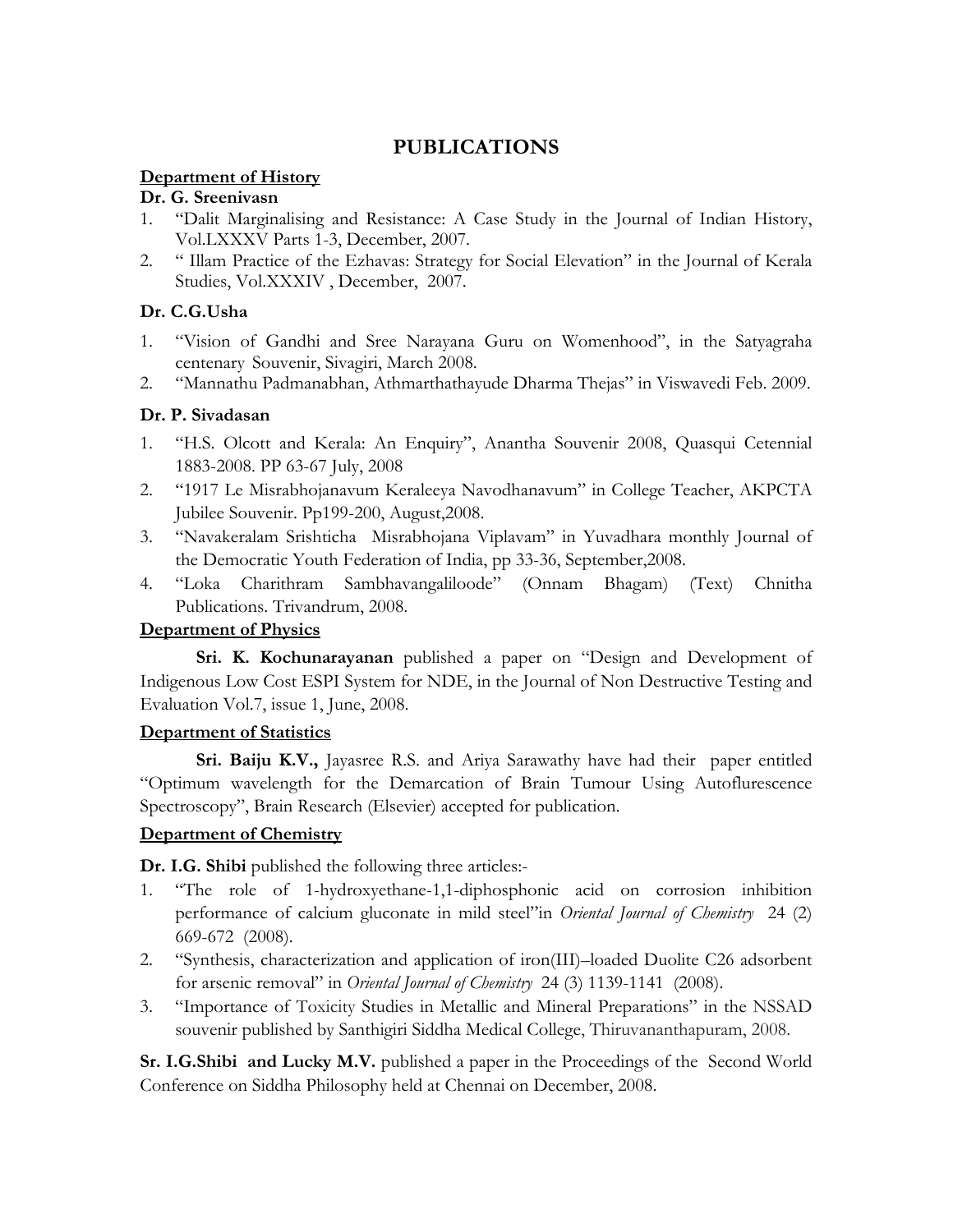# **PUBLICATIONS**

# **Department of History**

### **Dr. G. Sreenivasn**

- 1. "Dalit Marginalising and Resistance: A Case Study in the Journal of Indian History, Vol.LXXXV Parts 1-3, December, 2007.
- 2. " Illam Practice of the Ezhavas: Strategy for Social Elevation" in the Journal of Kerala Studies, Vol.XXXIV , December, 2007.

## **Dr. C.G.Usha**

- 1. "Vision of Gandhi and Sree Narayana Guru on Womenhood", in the Satyagraha centenary Souvenir, Sivagiri, March 2008.
- 2. "Mannathu Padmanabhan, Athmarthathayude Dharma Thejas" in Viswavedi Feb. 2009.

## **Dr. P. Sivadasan**

- 1. "H.S. Olcott and Kerala: An Enquiry", Anantha Souvenir 2008, Quasqui Cetennial 1883-2008. PP 63-67 July, 2008
- 2. "1917 Le Misrabhojanavum Keraleeya Navodhanavum" in College Teacher, AKPCTA Jubilee Souvenir. Pp199-200, August,2008.
- 3. "Navakeralam Srishticha Misrabhojana Viplavam" in Yuvadhara monthly Journal of the Democratic Youth Federation of India, pp 33-36, September,2008.
- 4. "Loka Charithram Sambhavangaliloode" (Onnam Bhagam) (Text) Chnitha Publications. Trivandrum, 2008.

# **Department of Physics**

**Sri. K. Kochunarayanan** published a paper on "Design and Development of Indigenous Low Cost ESPI System for NDE, in the Journal of Non Destructive Testing and Evaluation Vol.7, issue 1, June, 2008.

### **Department of Statistics**

**Sri. Baiju K.V.,** Jayasree R.S. and Ariya Sarawathy have had their paper entitled "Optimum wavelength for the Demarcation of Brain Tumour Using Autoflurescence Spectroscopy", Brain Research (Elsevier) accepted for publication.

# **Department of Chemistry**

**Dr. I.G. Shibi** published the following three articles:-

- 1. "The role of 1-hydroxyethane-1,1-diphosphonic acid on corrosion inhibition performance of calcium gluconate in mild steel"in *Oriental Journal of Chemistry* 24 (2) 669-672 (2008).
- 2. "Synthesis, characterization and application of iron(III)–loaded Duolite C26 adsorbent for arsenic removal" in *Oriental Journal of Chemistry* 24 (3) 1139-1141 (2008).
- 3. "Importance of Toxicity Studies in Metallic and Mineral Preparations" in the NSSAD souvenir published by Santhigiri Siddha Medical College, Thiruvananthapuram, 2008.

**Sr. I.G.Shibi and Lucky M.V.** published a paper in the Proceedings of the Second World Conference on Siddha Philosophy held at Chennai on December, 2008.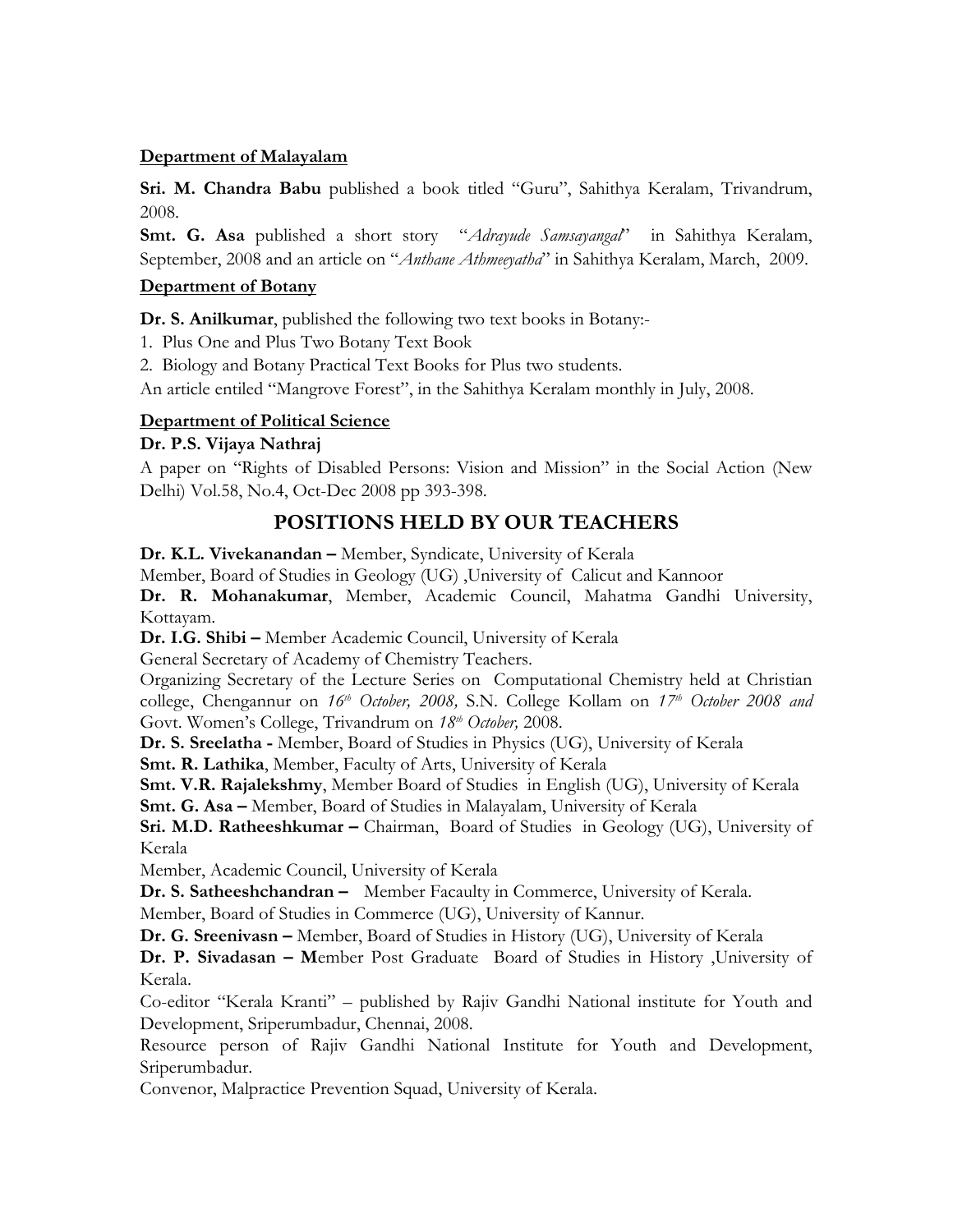### **Department of Malayalam**

**Sri. M. Chandra Babu** published a book titled "Guru", Sahithya Keralam, Trivandrum, 2008.

**Smt. G. Asa** published a short story "*Adrayude Samsayangal*" in Sahithya Keralam, September, 2008 and an article on "*Anthane Athmeeyatha*" in Sahithya Keralam, March, 2009.

## **Department of Botany**

**Dr. S. Anilkumar**, published the following two text books in Botany:-

1. Plus One and Plus Two Botany Text Book

2. Biology and Botany Practical Text Books for Plus two students.

An article entiled "Mangrove Forest", in the Sahithya Keralam monthly in July, 2008.

## **Department of Political Science**

## **Dr. P.S. Vijaya Nathraj**

A paper on "Rights of Disabled Persons: Vision and Mission" in the Social Action (New Delhi) Vol.58, No.4, Oct-Dec 2008 pp 393-398.

# **POSITIONS HELD BY OUR TEACHERS**

**Dr. K.L. Vivekanandan –** Member, Syndicate, University of Kerala

Member, Board of Studies in Geology (UG) ,University of Calicut and Kannoor

**Dr. R. Mohanakumar**, Member, Academic Council, Mahatma Gandhi University, Kottayam.

**Dr. I.G. Shibi –** Member Academic Council, University of Kerala

General Secretary of Academy of Chemistry Teachers.

Organizing Secretary of the Lecture Series on Computational Chemistry held at Christian college, Chengannur on *16th October, 2008,* S.N. College Kollam on *17th October 2008 and*  Govt. Women's College, Trivandrum on  $18<sup>th</sup>$  October, 2008.

**Dr. S. Sreelatha -** Member, Board of Studies in Physics (UG), University of Kerala

**Smt. R. Lathika**, Member, Faculty of Arts, University of Kerala

**Smt. V.R. Rajalekshmy**, Member Board of Studies in English (UG), University of Kerala **Smt. G. Asa –** Member, Board of Studies in Malayalam, University of Kerala

**Sri. M.D. Ratheeshkumar –** Chairman, Board of Studies in Geology (UG), University of Kerala

Member, Academic Council, University of Kerala

**Dr. S. Satheeshchandran –** Member Facaulty in Commerce, University of Kerala.

Member, Board of Studies in Commerce (UG), University of Kannur.

**Dr. G. Sreenivasn –** Member, Board of Studies in History (UG), University of Kerala

**Dr. P. Sivadasan – M**ember Post Graduate Board of Studies in History ,University of Kerala.

Co-editor "Kerala Kranti" – published by Rajiv Gandhi National institute for Youth and Development, Sriperumbadur, Chennai, 2008.

Resource person of Rajiv Gandhi National Institute for Youth and Development, Sriperumbadur.

Convenor, Malpractice Prevention Squad, University of Kerala.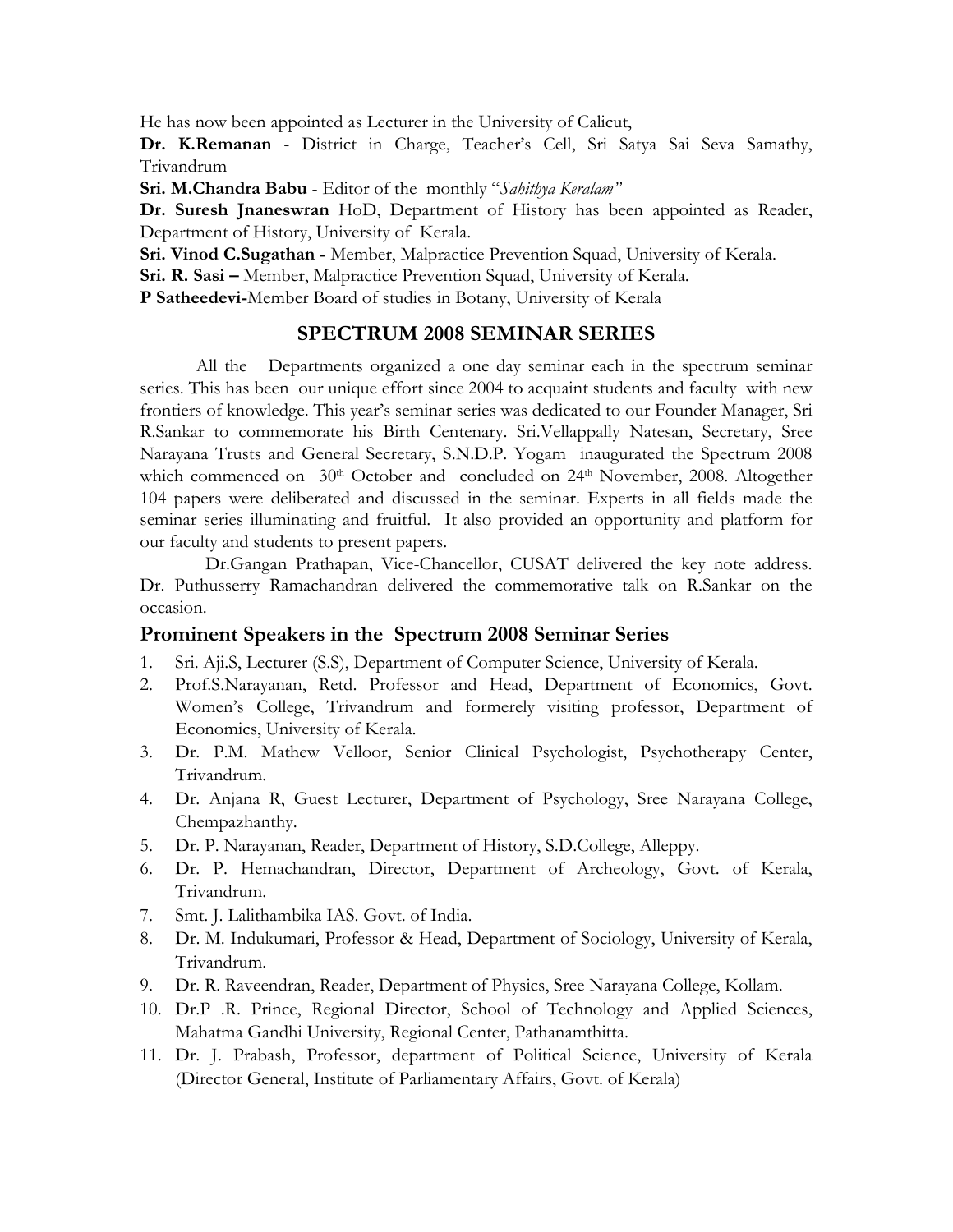He has now been appointed as Lecturer in the University of Calicut,

**Dr. K.Remanan** - District in Charge, Teacher's Cell, Sri Satya Sai Seva Samathy, Trivandrum

**Sri. M.Chandra Babu** - Editor of the monthly "*Sahithya Keralam"*

**Dr. Suresh Jnaneswran** HoD, Department of History has been appointed as Reader, Department of History, University of Kerala.

**Sri. Vinod C.Sugathan -** Member, Malpractice Prevention Squad, University of Kerala.

**Sri. R. Sasi –** Member, Malpractice Prevention Squad, University of Kerala.

**P Satheedevi-**Member Board of studies in Botany, University of Kerala

## **SPECTRUM 2008 SEMINAR SERIES**

All the Departments organized a one day seminar each in the spectrum seminar series. This has been our unique effort since 2004 to acquaint students and faculty with new frontiers of knowledge. This year's seminar series was dedicated to our Founder Manager, Sri R.Sankar to commemorate his Birth Centenary. Sri.Vellappally Natesan, Secretary, Sree Narayana Trusts and General Secretary, S.N.D.P. Yogam inaugurated the Spectrum 2008 which commenced on 30<sup>th</sup> October and concluded on 24<sup>th</sup> November, 2008. Altogether 104 papers were deliberated and discussed in the seminar. Experts in all fields made the seminar series illuminating and fruitful. It also provided an opportunity and platform for our faculty and students to present papers.

 Dr.Gangan Prathapan, Vice-Chancellor, CUSAT delivered the key note address. Dr. Puthusserry Ramachandran delivered the commemorative talk on R.Sankar on the occasion.

### **Prominent Speakers in the Spectrum 2008 Seminar Series**

- 1. Sri. Aji.S, Lecturer (S.S), Department of Computer Science, University of Kerala.
- 2. Prof.S.Narayanan, Retd. Professor and Head, Department of Economics, Govt. Women's College, Trivandrum and formerely visiting professor, Department of Economics, University of Kerala.
- 3. Dr. P.M. Mathew Velloor, Senior Clinical Psychologist, Psychotherapy Center, Trivandrum.
- 4. Dr. Anjana R, Guest Lecturer, Department of Psychology, Sree Narayana College, Chempazhanthy.
- 5. Dr. P. Narayanan, Reader, Department of History, S.D.College, Alleppy.
- 6. Dr. P. Hemachandran, Director, Department of Archeology, Govt. of Kerala, Trivandrum.
- 7. Smt. J. Lalithambika IAS. Govt. of India.
- 8. Dr. M. Indukumari, Professor & Head, Department of Sociology, University of Kerala, Trivandrum.
- 9. Dr. R. Raveendran, Reader, Department of Physics, Sree Narayana College, Kollam.
- 10. Dr.P .R. Prince, Regional Director, School of Technology and Applied Sciences, Mahatma Gandhi University, Regional Center, Pathanamthitta.
- 11. Dr. J. Prabash, Professor, department of Political Science, University of Kerala (Director General, Institute of Parliamentary Affairs, Govt. of Kerala)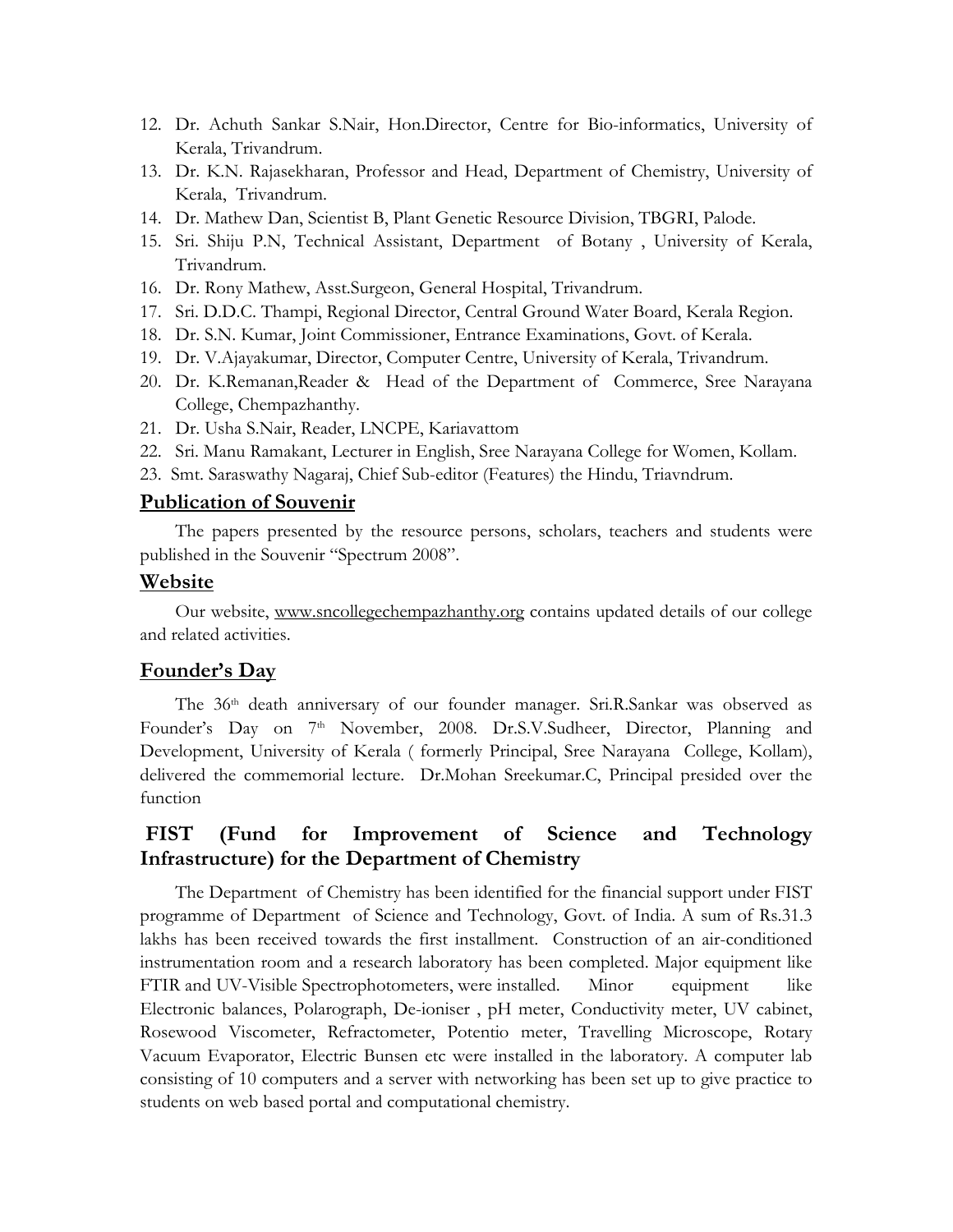- 12. Dr. Achuth Sankar S.Nair, Hon.Director, Centre for Bio-informatics, University of Kerala, Trivandrum.
- 13. Dr. K.N. Rajasekharan, Professor and Head, Department of Chemistry, University of Kerala, Trivandrum.
- 14. Dr. Mathew Dan, Scientist B, Plant Genetic Resource Division, TBGRI, Palode.
- 15. Sri. Shiju P.N, Technical Assistant, Department of Botany , University of Kerala, Trivandrum.
- 16. Dr. Rony Mathew, Asst.Surgeon, General Hospital, Trivandrum.
- 17. Sri. D.D.C. Thampi, Regional Director, Central Ground Water Board, Kerala Region.
- 18. Dr. S.N. Kumar, Joint Commissioner, Entrance Examinations, Govt. of Kerala.
- 19. Dr. V.Ajayakumar, Director, Computer Centre, University of Kerala, Trivandrum.
- 20. Dr. K.Remanan,Reader & Head of the Department of Commerce, Sree Narayana College, Chempazhanthy.
- 21. Dr. Usha S.Nair, Reader, LNCPE, Kariavattom
- 22. Sri. Manu Ramakant, Lecturer in English, Sree Narayana College for Women, Kollam.
- 23. Smt. Saraswathy Nagaraj, Chief Sub-editor (Features) the Hindu, Triavndrum.

#### **Publication of Souvenir**

The papers presented by the resource persons, scholars, teachers and students were published in the Souvenir "Spectrum 2008".

#### **Website**

Our website, www.sncollegechempazhanthy.org contains updated details of our college and related activities.

#### **Founder's Day**

The 36th death anniversary of our founder manager. Sri.R.Sankar was observed as Founder's Day on 7<sup>th</sup> November, 2008. Dr.S.V.Sudheer, Director, Planning and Development, University of Kerala ( formerly Principal, Sree Narayana College, Kollam), delivered the commemorial lecture. Dr.Mohan Sreekumar.C, Principal presided over the function

# **FIST (Fund for Improvement of Science and Technology Infrastructure) for the Department of Chemistry**

The Department of Chemistry has been identified for the financial support under FIST programme of Department of Science and Technology, Govt. of India. A sum of Rs.31.3 lakhs has been received towards the first installment. Construction of an air-conditioned instrumentation room and a research laboratory has been completed. Major equipment like FTIR and UV-Visible Spectrophotometers, were installed. Minor equipment like Electronic balances, Polarograph, De-ioniser , pH meter, Conductivity meter, UV cabinet, Rosewood Viscometer, Refractometer, Potentio meter, Travelling Microscope, Rotary Vacuum Evaporator, Electric Bunsen etc were installed in the laboratory. A computer lab consisting of 10 computers and a server with networking has been set up to give practice to students on web based portal and computational chemistry.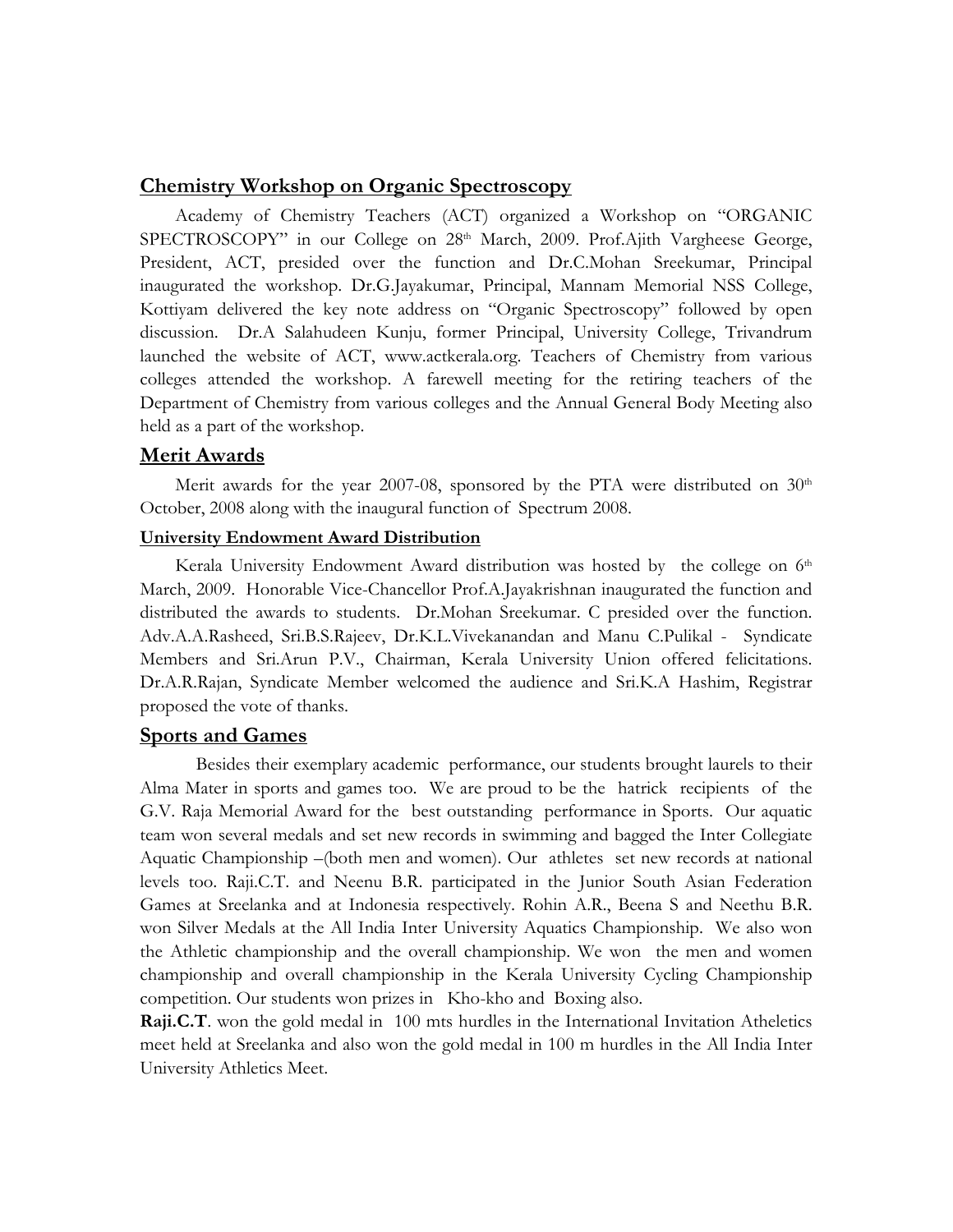#### **Chemistry Workshop on Organic Spectroscopy**

Academy of Chemistry Teachers (ACT) organized a Workshop on "ORGANIC SPECTROSCOPY" in our College on 28<sup>th</sup> March, 2009. Prof.Ajith Vargheese George, President, ACT, presided over the function and Dr.C.Mohan Sreekumar, Principal inaugurated the workshop. Dr.G.Jayakumar, Principal, Mannam Memorial NSS College, Kottiyam delivered the key note address on "Organic Spectroscopy" followed by open discussion. Dr.A Salahudeen Kunju, former Principal, University College, Trivandrum launched the website of ACT, www.actkerala.org. Teachers of Chemistry from various colleges attended the workshop. A farewell meeting for the retiring teachers of the Department of Chemistry from various colleges and the Annual General Body Meeting also held as a part of the workshop.

#### **Merit Awards**

Merit awards for the year 2007-08, sponsored by the PTA were distributed on  $30<sup>th</sup>$ October, 2008 along with the inaugural function of Spectrum 2008.

### **University Endowment Award Distribution**

Kerala University Endowment Award distribution was hosted by the college on 6<sup>th</sup> March, 2009. Honorable Vice-Chancellor Prof.A.Jayakrishnan inaugurated the function and distributed the awards to students. Dr.Mohan Sreekumar. C presided over the function. Adv.A.A.Rasheed, Sri.B.S.Rajeev, Dr.K.L.Vivekanandan and Manu C.Pulikal - Syndicate Members and Sri.Arun P.V., Chairman, Kerala University Union offered felicitations. Dr.A.R.Rajan, Syndicate Member welcomed the audience and Sri.K.A Hashim, Registrar proposed the vote of thanks.

#### **Sports and Games**

 Besides their exemplary academic performance, our students brought laurels to their Alma Mater in sports and games too. We are proud to be the hatrick recipients of the G.V. Raja Memorial Award for the best outstanding performance in Sports. Our aquatic team won several medals and set new records in swimming and bagged the Inter Collegiate Aquatic Championship –(both men and women). Our athletes set new records at national levels too. Raji.C.T. and Neenu B.R. participated in the Junior South Asian Federation Games at Sreelanka and at Indonesia respectively. Rohin A.R., Beena S and Neethu B.R. won Silver Medals at the All India Inter University Aquatics Championship. We also won the Athletic championship and the overall championship. We won the men and women championship and overall championship in the Kerala University Cycling Championship competition. Our students won prizes in Kho-kho and Boxing also.

**Raji.C.T**. won the gold medal in 100 mts hurdles in the International Invitation Atheletics meet held at Sreelanka and also won the gold medal in 100 m hurdles in the All India Inter University Athletics Meet.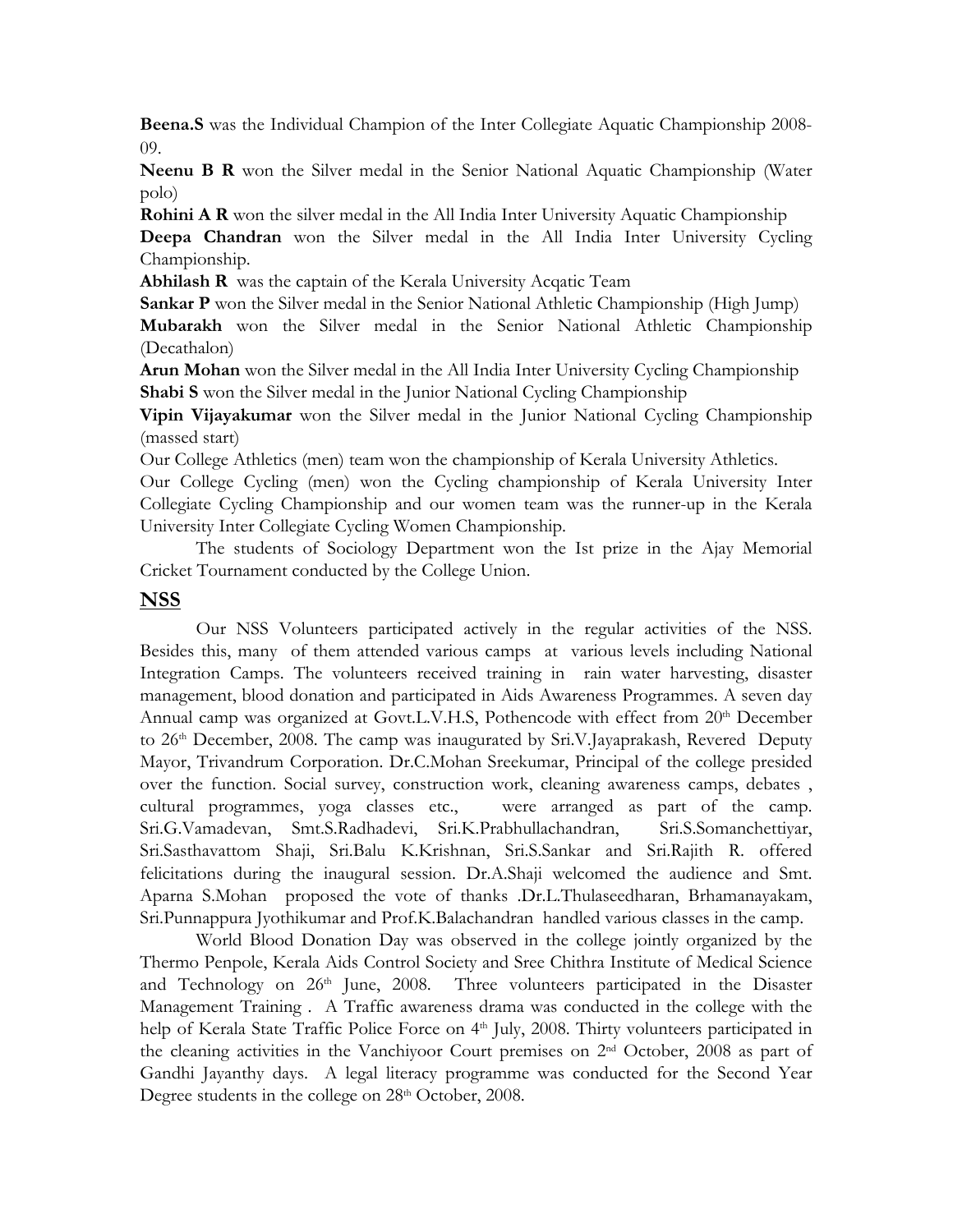**Beena.S** was the Individual Champion of the Inter Collegiate Aquatic Championship 2008- 09.

**Neenu B R** won the Silver medal in the Senior National Aquatic Championship (Water polo)

**Rohini A R** won the silver medal in the All India Inter University Aquatic Championship **Deepa Chandran** won the Silver medal in the All India Inter University Cycling Championship.

**Abhilash R** was the captain of the Kerala University Acqatic Team

**Sankar P** won the Silver medal in the Senior National Athletic Championship (High Jump) **Mubarakh** won the Silver medal in the Senior National Athletic Championship (Decathalon)

**Arun Mohan** won the Silver medal in the All India Inter University Cycling Championship **Shabi S** won the Silver medal in the Junior National Cycling Championship

**Vipin Vijayakumar** won the Silver medal in the Junior National Cycling Championship (massed start)

Our College Athletics (men) team won the championship of Kerala University Athletics.

Our College Cycling (men) won the Cycling championship of Kerala University Inter Collegiate Cycling Championship and our women team was the runner-up in the Kerala University Inter Collegiate Cycling Women Championship.

 The students of Sociology Department won the Ist prize in the Ajay Memorial Cricket Tournament conducted by the College Union.

### **NSS**

 Our NSS Volunteers participated actively in the regular activities of the NSS. Besides this, many of them attended various camps at various levels including National Integration Camps. The volunteers received training in rain water harvesting, disaster management, blood donation and participated in Aids Awareness Programmes. A seven day Annual camp was organized at Govt.L.V.H.S, Pothencode with effect from 20<sup>th</sup> December to 26<sup>th</sup> December, 2008. The camp was inaugurated by Sri.V.Jayaprakash, Revered Deputy Mayor, Trivandrum Corporation. Dr.C.Mohan Sreekumar, Principal of the college presided over the function. Social survey, construction work, cleaning awareness camps, debates , cultural programmes, yoga classes etc., were arranged as part of the camp. Sri.G.Vamadevan, Smt.S.Radhadevi, Sri.K.Prabhullachandran, Sri.S.Somanchettiyar, Sri.Sasthavattom Shaji, Sri.Balu K.Krishnan, Sri.S.Sankar and Sri.Rajith R. offered felicitations during the inaugural session. Dr.A.Shaji welcomed the audience and Smt. Aparna S.Mohan proposed the vote of thanks .Dr.L.Thulaseedharan, Brhamanayakam, Sri.Punnappura Jyothikumar and Prof.K.Balachandran handled various classes in the camp.

World Blood Donation Day was observed in the college jointly organized by the Thermo Penpole, Kerala Aids Control Society and Sree Chithra Institute of Medical Science and Technology on 26<sup>th</sup> June, 2008. Three volunteers participated in the Disaster Management Training . A Traffic awareness drama was conducted in the college with the help of Kerala State Traffic Police Force on 4<sup>th</sup> July, 2008. Thirty volunteers participated in the cleaning activities in the Vanchiyoor Court premises on 2nd October, 2008 as part of Gandhi Jayanthy days. A legal literacy programme was conducted for the Second Year Degree students in the college on 28<sup>th</sup> October, 2008.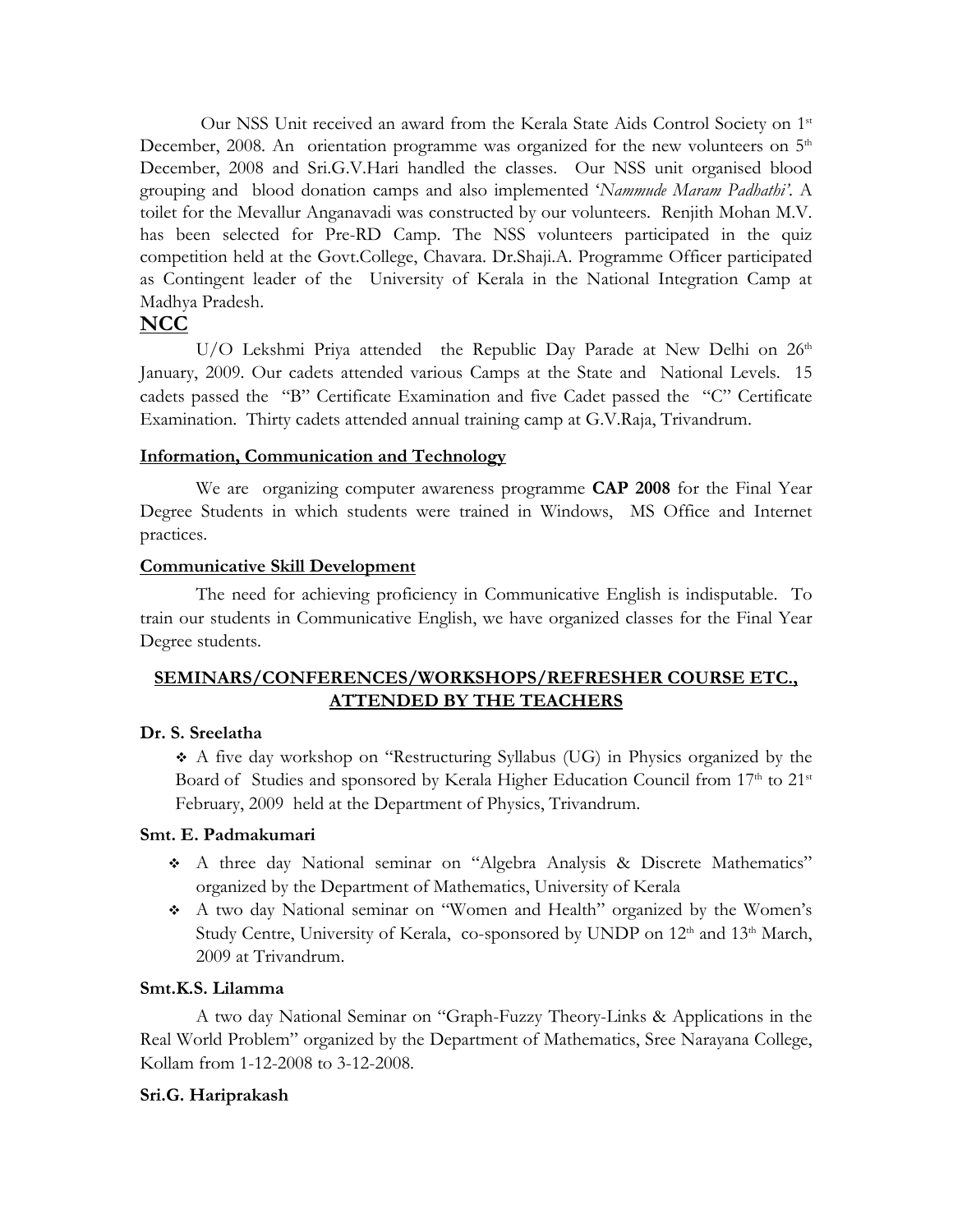Our NSS Unit received an award from the Kerala State Aids Control Society on 1<sup>st</sup> December, 2008. An orientation programme was organized for the new volunteers on  $5<sup>th</sup>$ December, 2008 and Sri.G.V.Hari handled the classes. Our NSS unit organised blood grouping and blood donation camps and also implemented '*Nammude Maram Padhathi'*. A toilet for the Mevallur Anganavadi was constructed by our volunteers. Renjith Mohan M.V. has been selected for Pre-RD Camp. The NSS volunteers participated in the quiz competition held at the Govt.College, Chavara. Dr.Shaji.A. Programme Officer participated as Contingent leader of the University of Kerala in the National Integration Camp at Madhya Pradesh.

## **NCC**

U/O Lekshmi Priya attended the Republic Day Parade at New Delhi on 26th January, 2009. Our cadets attended various Camps at the State and National Levels. 15 cadets passed the "B" Certificate Examination and five Cadet passed the "C" Certificate Examination. Thirty cadets attended annual training camp at G.V.Raja, Trivandrum.

#### **Information, Communication and Technology**

 We are organizing computer awareness programme **CAP 2008** for the Final Year Degree Students in which students were trained in Windows, MS Office and Internet practices.

#### **Communicative Skill Development**

The need for achieving proficiency in Communicative English is indisputable. To train our students in Communicative English, we have organized classes for the Final Year Degree students.

## **SEMINARS/CONFERENCES/WORKSHOPS/REFRESHER COURSE ETC., ATTENDED BY THE TEACHERS**

#### **Dr. S. Sreelatha**

 A five day workshop on "Restructuring Syllabus (UG) in Physics organized by the Board of Studies and sponsored by Kerala Higher Education Council from 17th to 21st February, 2009 held at the Department of Physics, Trivandrum.

### **Smt. E. Padmakumari**

- A three day National seminar on "Algebra Analysis & Discrete Mathematics" organized by the Department of Mathematics, University of Kerala
- A two day National seminar on "Women and Health" organized by the Women's Study Centre, University of Kerala, co-sponsored by UNDP on  $12<sup>th</sup>$  and  $13<sup>th</sup>$  March, 2009 at Trivandrum.

#### **Smt.K.S. Lilamma**

A two day National Seminar on "Graph-Fuzzy Theory-Links & Applications in the Real World Problem" organized by the Department of Mathematics, Sree Narayana College, Kollam from 1-12-2008 to 3-12-2008.

#### **Sri.G. Hariprakash**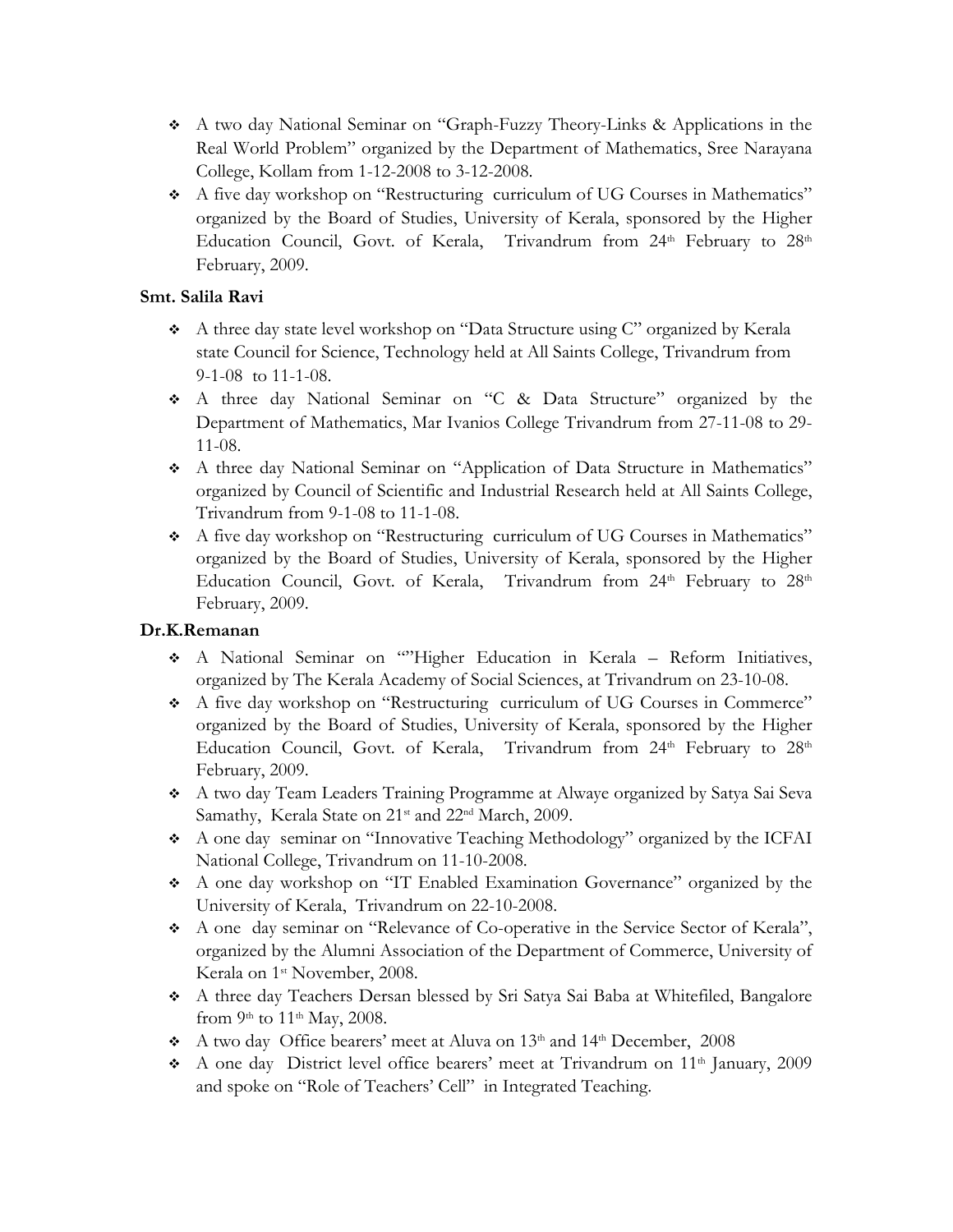- A two day National Seminar on "Graph-Fuzzy Theory-Links & Applications in the Real World Problem" organized by the Department of Mathematics, Sree Narayana College, Kollam from 1-12-2008 to 3-12-2008.
- A five day workshop on "Restructuring curriculum of UG Courses in Mathematics" organized by the Board of Studies, University of Kerala, sponsored by the Higher Education Council, Govt. of Kerala, Trivandrum from 24<sup>th</sup> February to 28<sup>th</sup> February, 2009.

# **Smt. Salila Ravi**

- A three day state level workshop on "Data Structure using C" organized by Kerala state Council for Science, Technology held at All Saints College, Trivandrum from 9-1-08 to 11-1-08.
- A three day National Seminar on "C & Data Structure" organized by the Department of Mathematics, Mar Ivanios College Trivandrum from 27-11-08 to 29- 11-08.
- A three day National Seminar on "Application of Data Structure in Mathematics" organized by Council of Scientific and Industrial Research held at All Saints College, Trivandrum from 9-1-08 to 11-1-08.
- A five day workshop on "Restructuring curriculum of UG Courses in Mathematics" organized by the Board of Studies, University of Kerala, sponsored by the Higher Education Council, Govt. of Kerala, Trivandrum from 24th February to 28th February, 2009.

# **Dr.K.Remanan**

- A National Seminar on ""Higher Education in Kerala Reform Initiatives, organized by The Kerala Academy of Social Sciences, at Trivandrum on 23-10-08.
- A five day workshop on "Restructuring curriculum of UG Courses in Commerce" organized by the Board of Studies, University of Kerala, sponsored by the Higher Education Council, Govt. of Kerala, Trivandrum from 24th February to 28th February, 2009.
- A two day Team Leaders Training Programme at Alwaye organized by Satya Sai Seva Samathy, Kerala State on 21<sup>st</sup> and 22<sup>nd</sup> March, 2009.
- A one day seminar on "Innovative Teaching Methodology" organized by the ICFAI National College, Trivandrum on 11-10-2008.
- A one day workshop on "IT Enabled Examination Governance" organized by the University of Kerala, Trivandrum on 22-10-2008.
- A one day seminar on "Relevance of Co-operative in the Service Sector of Kerala", organized by the Alumni Association of the Department of Commerce, University of Kerala on 1<sup>st</sup> November, 2008.
- A three day Teachers Dersan blessed by Sri Satya Sai Baba at Whitefiled, Bangalore from 9th to  $11^{th}$  May, 2008.
- A two day Office bearers' meet at Aluva on 13<sup>th</sup> and 14<sup>th</sup> December, 2008
- A one day District level office bearers' meet at Trivandrum on 11th January, 2009 and spoke on "Role of Teachers' Cell" in Integrated Teaching.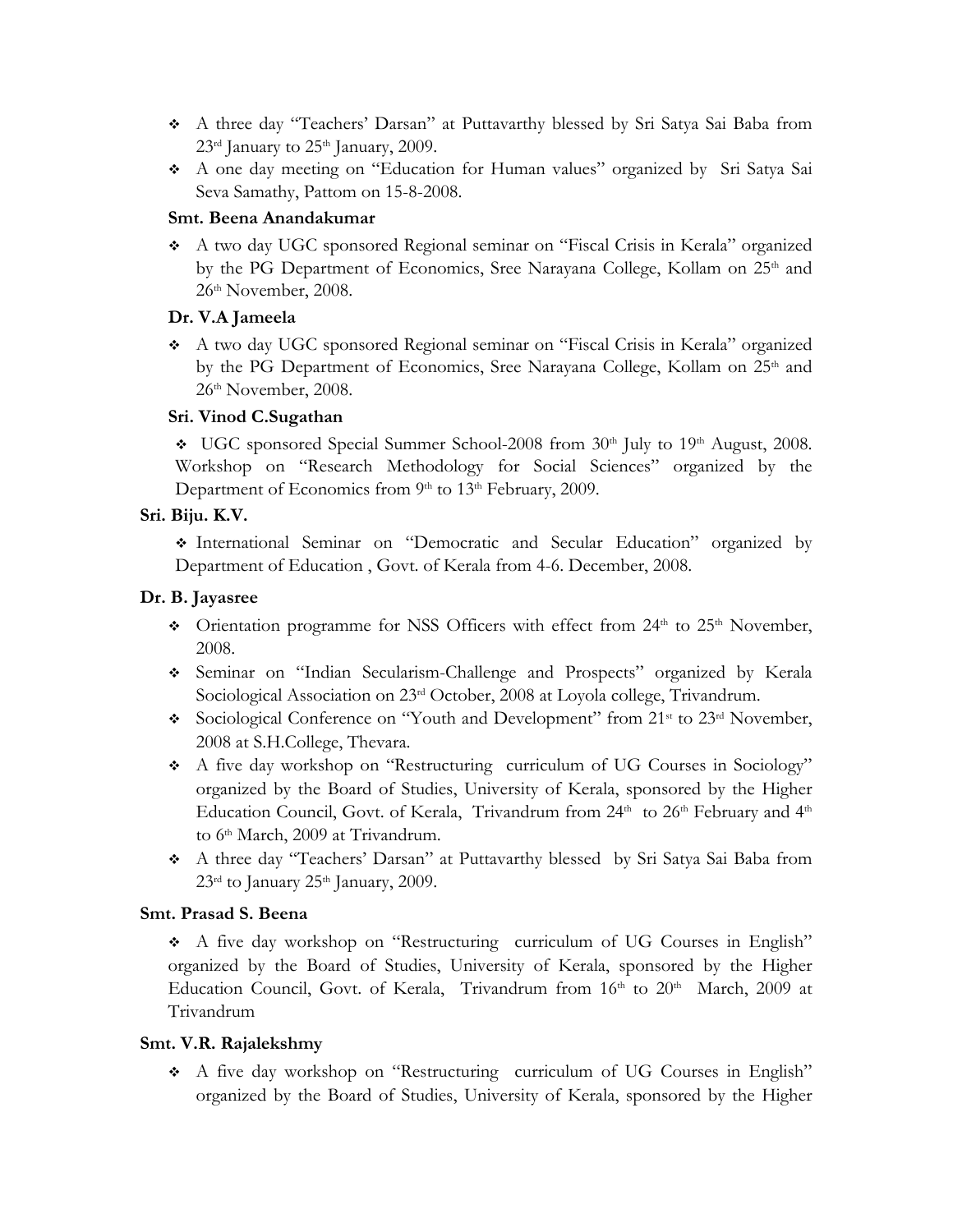- A three day "Teachers' Darsan" at Puttavarthy blessed by Sri Satya Sai Baba from  $23<sup>rd</sup>$  January to  $25<sup>th</sup>$  January, 2009.
- A one day meeting on "Education for Human values" organized by Sri Satya Sai Seva Samathy, Pattom on 15-8-2008.

### **Smt. Beena Anandakumar**

 A two day UGC sponsored Regional seminar on "Fiscal Crisis in Kerala" organized by the PG Department of Economics, Sree Narayana College, Kollam on 25<sup>th</sup> and 26th November, 2008.

# **Dr. V.A Jameela**

 A two day UGC sponsored Regional seminar on "Fiscal Crisis in Kerala" organized by the PG Department of Economics, Sree Narayana College, Kollam on 25<sup>th</sup> and 26th November, 2008.

# **Sri. Vinod C.Sugathan**

 $\bullet$  UGC sponsored Special Summer School-2008 from 30<sup>th</sup> July to 19<sup>th</sup> August, 2008. Workshop on "Research Methodology for Social Sciences" organized by the Department of Economics from 9<sup>th</sup> to 13<sup>th</sup> February, 2009.

# **Sri. Biju. K.V.**

 International Seminar on "Democratic and Secular Education" organized by Department of Education , Govt. of Kerala from 4-6. December, 2008.

# **Dr. B. Jayasree**

- $\div$  Orientation programme for NSS Officers with effect from 24<sup>th</sup> to 25<sup>th</sup> November, 2008.
- Seminar on "Indian Secularism-Challenge and Prospects" organized by Kerala Sociological Association on 23<sup>rd</sup> October, 2008 at Loyola college, Trivandrum.
- Sociological Conference on "Youth and Development" from 21<sup>st</sup> to 23<sup>rd</sup> November, 2008 at S.H.College, Thevara.
- A five day workshop on "Restructuring curriculum of UG Courses in Sociology" organized by the Board of Studies, University of Kerala, sponsored by the Higher Education Council, Govt. of Kerala, Trivandrum from 24<sup>th</sup> to 26<sup>th</sup> February and 4<sup>th</sup> to 6<sup>th</sup> March, 2009 at Trivandrum.
- A three day "Teachers' Darsan" at Puttavarthy blessed by Sri Satya Sai Baba from  $23<sup>rd</sup>$  to January  $25<sup>th</sup>$  January, 2009.

# **Smt. Prasad S. Beena**

 A five day workshop on "Restructuring curriculum of UG Courses in English" organized by the Board of Studies, University of Kerala, sponsored by the Higher Education Council, Govt. of Kerala, Trivandrum from 16th to 20th March, 2009 at Trivandrum

# **Smt. V.R. Rajalekshmy**

 A five day workshop on "Restructuring curriculum of UG Courses in English" organized by the Board of Studies, University of Kerala, sponsored by the Higher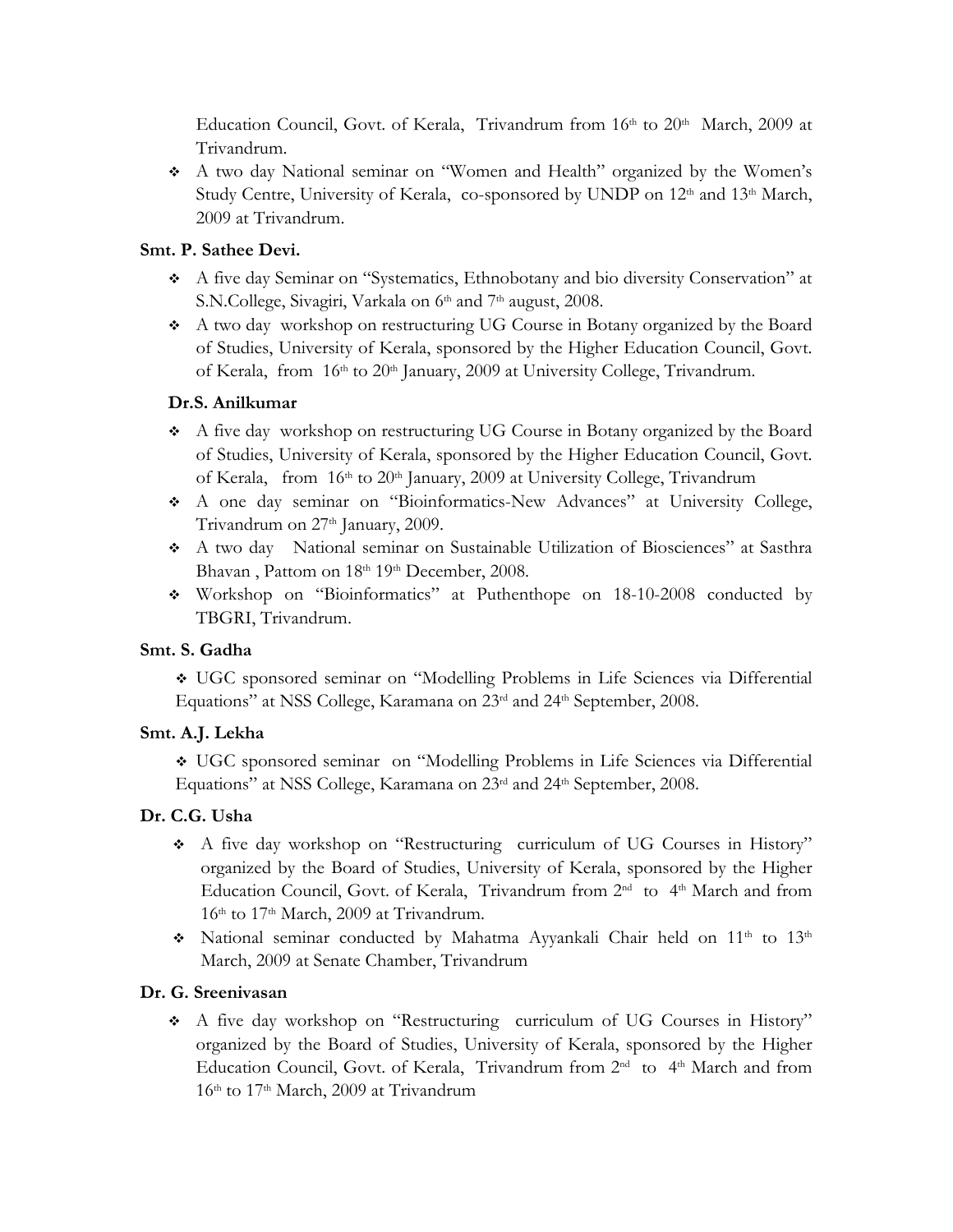Education Council, Govt. of Kerala, Trivandrum from 16th to 20th March, 2009 at Trivandrum.

 A two day National seminar on "Women and Health" organized by the Women's Study Centre, University of Kerala, co-sponsored by UNDP on 12<sup>th</sup> and 13<sup>th</sup> March, 2009 at Trivandrum.

## **Smt. P. Sathee Devi.**

- A five day Seminar on "Systematics, Ethnobotany and bio diversity Conservation" at S.N.College, Sivagiri, Varkala on 6<sup>th</sup> and 7<sup>th</sup> august, 2008.
- A two day workshop on restructuring UG Course in Botany organized by the Board of Studies, University of Kerala, sponsored by the Higher Education Council, Govt. of Kerala, from 16<sup>th</sup> to 20<sup>th</sup> January, 2009 at University College, Trivandrum.

## **Dr.S. Anilkumar**

- A five day workshop on restructuring UG Course in Botany organized by the Board of Studies, University of Kerala, sponsored by the Higher Education Council, Govt. of Kerala, from 16th to 20th January, 2009 at University College, Trivandrum
- A one day seminar on "Bioinformatics-New Advances" at University College, Trivandrum on 27<sup>th</sup> January, 2009.
- A two day National seminar on Sustainable Utilization of Biosciences" at Sasthra Bhavan, Pattom on 18th 19th December, 2008.
- Workshop on "Bioinformatics" at Puthenthope on 18-10-2008 conducted by TBGRI, Trivandrum.

# **Smt. S. Gadha**

 UGC sponsored seminar on "Modelling Problems in Life Sciences via Differential Equations" at NSS College, Karamana on 23<sup>rd</sup> and 24<sup>th</sup> September, 2008.

### **Smt. A.J. Lekha**

 UGC sponsored seminar on "Modelling Problems in Life Sciences via Differential Equations" at NSS College, Karamana on 23<sup>rd</sup> and 24<sup>th</sup> September, 2008.

# **Dr. C.G. Usha**

- A five day workshop on "Restructuring curriculum of UG Courses in History" organized by the Board of Studies, University of Kerala, sponsored by the Higher Education Council, Govt. of Kerala, Trivandrum from 2<sup>nd</sup> to 4<sup>th</sup> March and from 16<sup>th</sup> to 17<sup>th</sup> March, 2009 at Trivandrum.
- \* National seminar conducted by Mahatma Ayyankali Chair held on 11<sup>th</sup> to 13<sup>th</sup> March, 2009 at Senate Chamber, Trivandrum

# **Dr. G. Sreenivasan**

 A five day workshop on "Restructuring curriculum of UG Courses in History" organized by the Board of Studies, University of Kerala, sponsored by the Higher Education Council, Govt. of Kerala, Trivandrum from 2<sup>nd</sup> to 4<sup>th</sup> March and from 16<sup>th</sup> to 17<sup>th</sup> March, 2009 at Trivandrum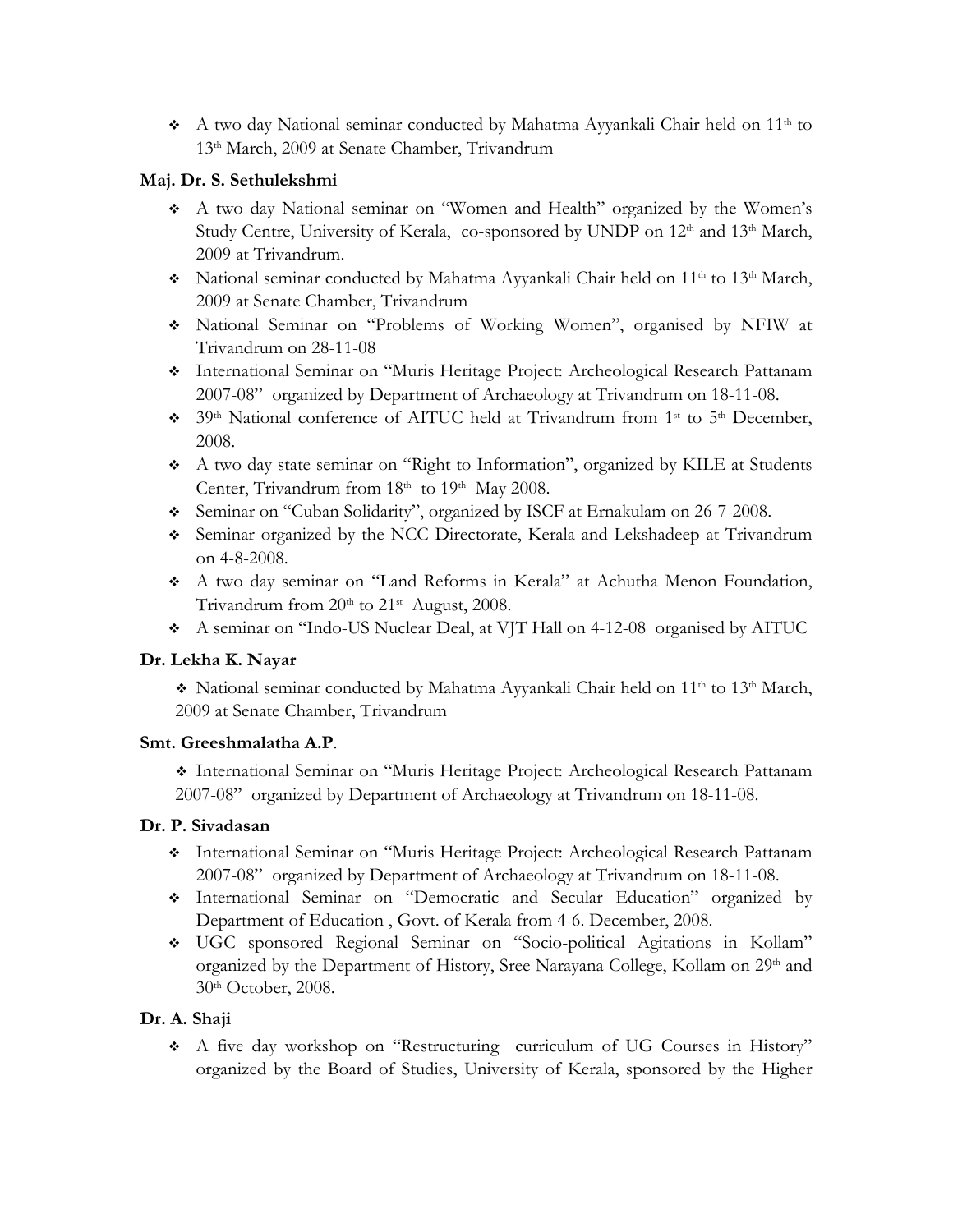A two day National seminar conducted by Mahatma Ayyankali Chair held on 11<sup>th</sup> to 13th March, 2009 at Senate Chamber, Trivandrum

# **Maj. Dr. S. Sethulekshmi**

- A two day National seminar on "Women and Health" organized by the Women's Study Centre, University of Kerala, co-sponsored by UNDP on 12<sup>th</sup> and 13<sup>th</sup> March, 2009 at Trivandrum.
- \* National seminar conducted by Mahatma Ayyankali Chair held on 11<sup>th</sup> to 13<sup>th</sup> March, 2009 at Senate Chamber, Trivandrum
- National Seminar on "Problems of Working Women", organised by NFIW at Trivandrum on 28-11-08
- International Seminar on "Muris Heritage Project: Archeological Research Pattanam 2007-08" organized by Department of Archaeology at Trivandrum on 18-11-08.
- <sup>39th</sup> National conference of AITUC held at Trivandrum from 1<sup>st</sup> to 5<sup>th</sup> December, 2008.
- A two day state seminar on "Right to Information", organized by KILE at Students Center, Trivandrum from 18<sup>th</sup> to 19<sup>th</sup> May 2008.
- Seminar on "Cuban Solidarity", organized by ISCF at Ernakulam on 26-7-2008.
- Seminar organized by the NCC Directorate, Kerala and Lekshadeep at Trivandrum on 4-8-2008.
- A two day seminar on "Land Reforms in Kerala" at Achutha Menon Foundation, Trivandrum from  $20<sup>th</sup>$  to  $21<sup>st</sup>$  August, 2008.
- A seminar on "Indo-US Nuclear Deal, at VJT Hall on 4-12-08 organised by AITUC

# **Dr. Lekha K. Nayar**

\* National seminar conducted by Mahatma Ayyankali Chair held on 11<sup>th</sup> to 13<sup>th</sup> March, 2009 at Senate Chamber, Trivandrum

# **Smt. Greeshmalatha A.P**.

 International Seminar on "Muris Heritage Project: Archeological Research Pattanam 2007-08" organized by Department of Archaeology at Trivandrum on 18-11-08.

# **Dr. P. Sivadasan**

- International Seminar on "Muris Heritage Project: Archeological Research Pattanam 2007-08" organized by Department of Archaeology at Trivandrum on 18-11-08.
- International Seminar on "Democratic and Secular Education" organized by Department of Education , Govt. of Kerala from 4-6. December, 2008.
- UGC sponsored Regional Seminar on "Socio-political Agitations in Kollam" organized by the Department of History, Sree Narayana College, Kollam on 29<sup>th</sup> and 30th October, 2008.

# **Dr. A. Shaji**

 A five day workshop on "Restructuring curriculum of UG Courses in History" organized by the Board of Studies, University of Kerala, sponsored by the Higher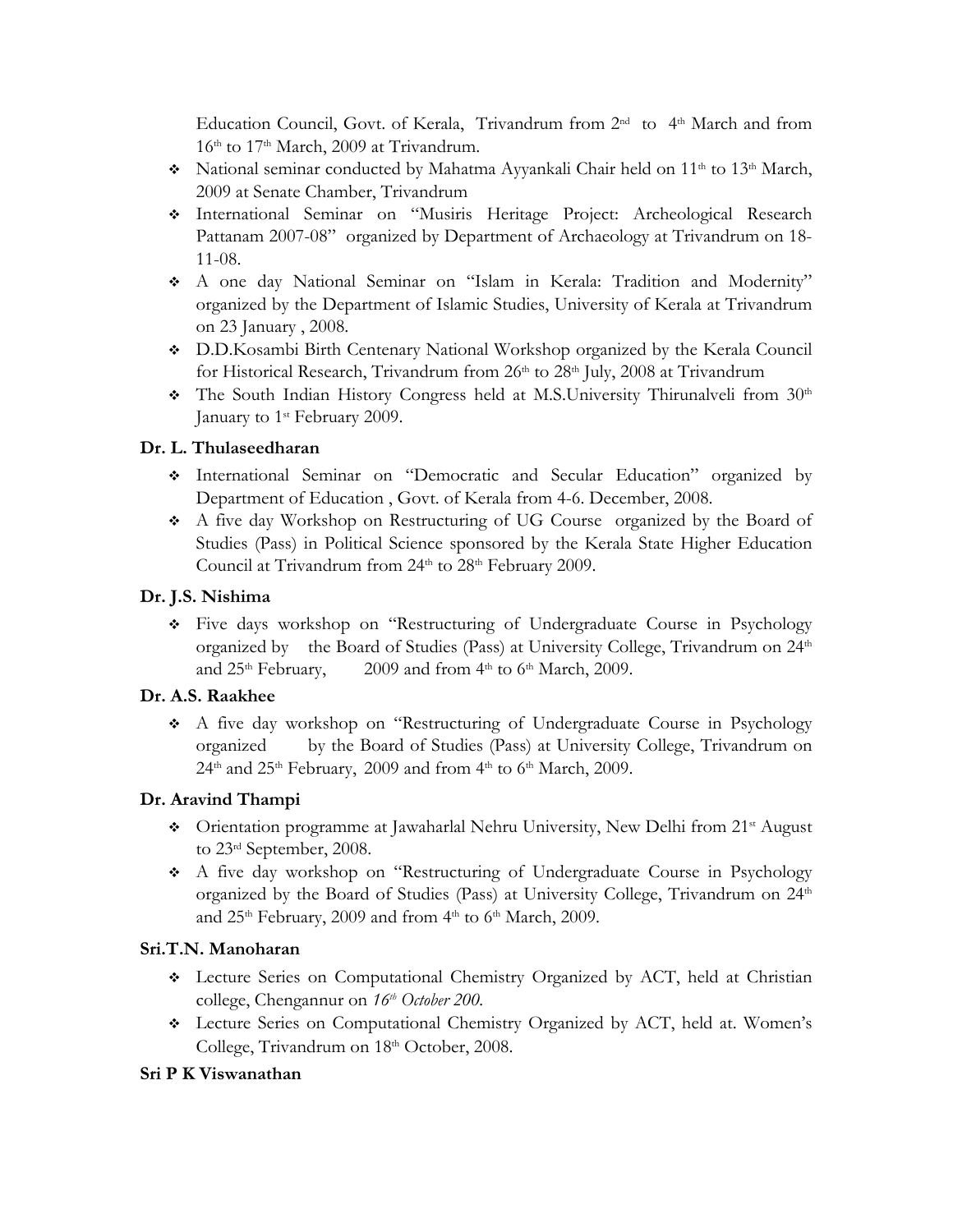Education Council, Govt. of Kerala, Trivandrum from 2<sup>nd</sup> to 4<sup>th</sup> March and from 16<sup>th</sup> to 17<sup>th</sup> March, 2009 at Trivandrum.

- \* National seminar conducted by Mahatma Ayyankali Chair held on 11<sup>th</sup> to 13<sup>th</sup> March, 2009 at Senate Chamber, Trivandrum
- International Seminar on "Musiris Heritage Project: Archeological Research Pattanam 2007-08" organized by Department of Archaeology at Trivandrum on 18- 11-08.
- A one day National Seminar on "Islam in Kerala: Tradition and Modernity" organized by the Department of Islamic Studies, University of Kerala at Trivandrum on 23 January , 2008.
- D.D.Kosambi Birth Centenary National Workshop organized by the Kerala Council for Historical Research, Trivandrum from 26<sup>th</sup> to 28<sup>th</sup> July, 2008 at Trivandrum
- $\div$  The South Indian History Congress held at M.S.University Thirunalveli from 30<sup>th</sup> January to 1<sup>st</sup> February 2009.

# **Dr. L. Thulaseedharan**

- International Seminar on "Democratic and Secular Education" organized by Department of Education , Govt. of Kerala from 4-6. December, 2008.
- A five day Workshop on Restructuring of UG Course organized by the Board of Studies (Pass) in Political Science sponsored by the Kerala State Higher Education Council at Trivandrum from 24<sup>th</sup> to 28<sup>th</sup> February 2009.

## **Dr. J.S. Nishima**

 Five days workshop on "Restructuring of Undergraduate Course in Psychology organized by the Board of Studies (Pass) at University College, Trivandrum on 24<sup>th</sup> and  $25<sup>th</sup>$  February, 2009 and from  $4<sup>th</sup>$  to  $6<sup>th</sup>$  March, 2009.

# **Dr. A.S. Raakhee**

 A five day workshop on "Restructuring of Undergraduate Course in Psychology organized by the Board of Studies (Pass) at University College, Trivandrum on  $24<sup>th</sup>$  and  $25<sup>th</sup>$  February, 2009 and from  $4<sup>th</sup>$  to  $6<sup>th</sup>$  March, 2009.

# **Dr. Aravind Thampi**

- $\bullet$  Orientation programme at Jawaharlal Nehru University, New Delhi from 21<sup>st</sup> August to 23rd September, 2008.
- A five day workshop on "Restructuring of Undergraduate Course in Psychology organized by the Board of Studies (Pass) at University College, Trivandrum on 24<sup>th</sup> and 25<sup>th</sup> February, 2009 and from 4<sup>th</sup> to 6<sup>th</sup> March, 2009.

# **Sri.T.N. Manoharan**

- Lecture Series on Computational Chemistry Organized by ACT, held at Christian college, Chengannur on  $16<sup>th</sup> October 200$ .
- Lecture Series on Computational Chemistry Organized by ACT, held at. Women's College, Trivandrum on 18<sup>th</sup> October, 2008.

# **Sri P K Viswanathan**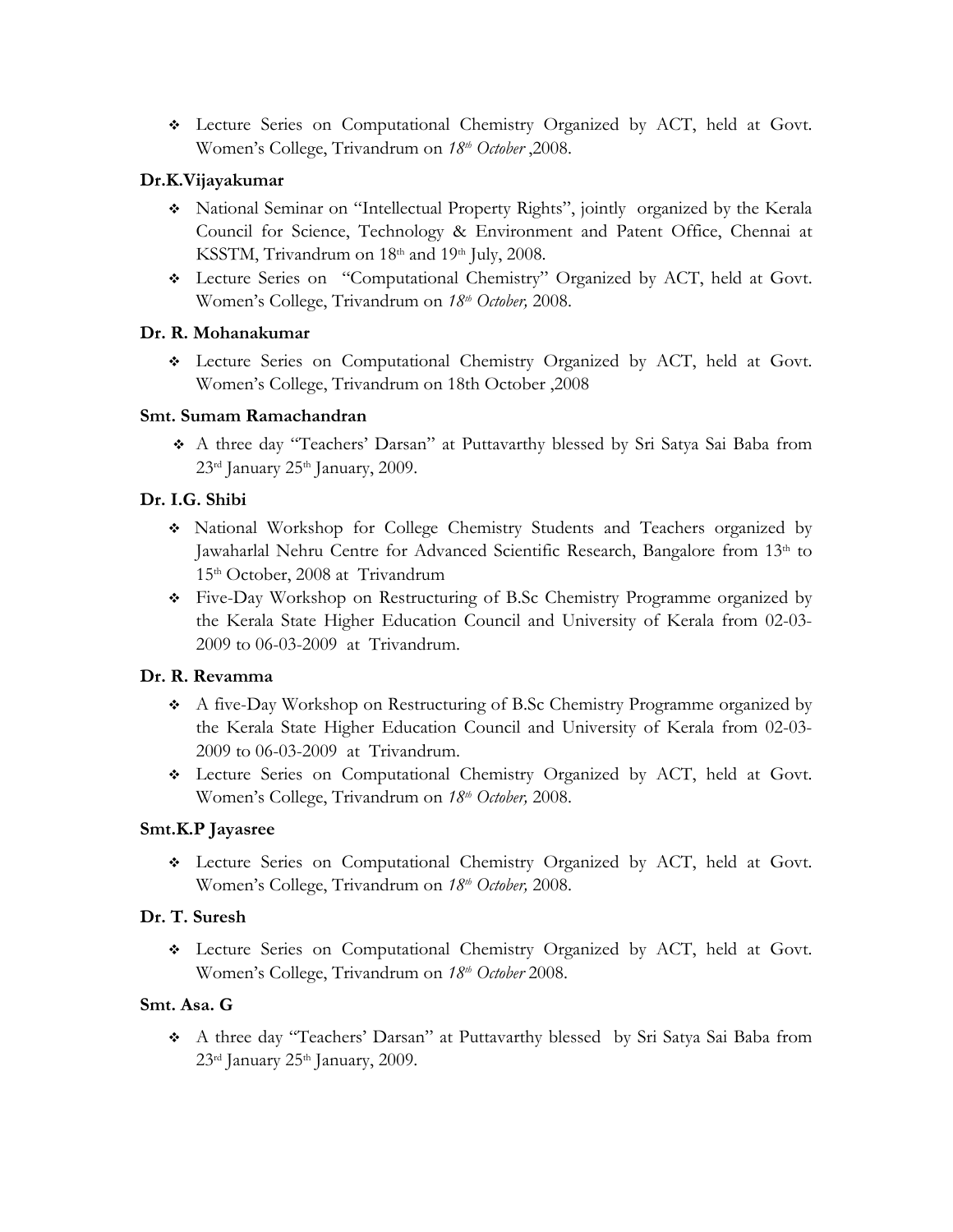Lecture Series on Computational Chemistry Organized by ACT, held at Govt. Women's College, Trivandrum on *18th October* ,2008.

# **Dr.K.Vijayakumar**

- National Seminar on "Intellectual Property Rights", jointly organized by the Kerala Council for Science, Technology & Environment and Patent Office, Chennai at KSSTM, Trivandrum on 18<sup>th</sup> and 19<sup>th</sup> July, 2008.
- Lecture Series on "Computational Chemistry" Organized by ACT, held at Govt. Women's College, Trivandrum on *18th October,* 2008.

# **Dr. R. Mohanakumar**

 Lecture Series on Computational Chemistry Organized by ACT, held at Govt. Women's College, Trivandrum on 18th October ,2008

# **Smt. Sumam Ramachandran**

 A three day "Teachers' Darsan" at Puttavarthy blessed by Sri Satya Sai Baba from  $23<sup>rd</sup>$  January  $25<sup>th</sup>$  January, 2009.

# **Dr. I.G. Shibi**

- National Workshop for College Chemistry Students and Teachers organized by Jawaharlal Nehru Centre for Advanced Scientific Research, Bangalore from 13th to 15th October, 2008 atTrivandrum
- Five-Day Workshop on Restructuring of B.Sc Chemistry Programme organized by the Kerala State Higher Education Council and University of Kerala from 02-03- 2009 to 06-03-2009 atTrivandrum.

# **Dr. R. Revamma**

- A five-Day Workshop on Restructuring of B.Sc Chemistry Programme organized by the Kerala State Higher Education Council and University of Kerala from 02-03- 2009 to 06-03-2009 atTrivandrum.
- Lecture Series on Computational Chemistry Organized by ACT, held at Govt. Women's College, Trivandrum on *18th October,* 2008.

# **Smt.K.P Jayasree**

 Lecture Series on Computational Chemistry Organized by ACT, held at Govt. Women's College, Trivandrum on *18th October,* 2008.

# **Dr. T. Suresh**

 Lecture Series on Computational Chemistry Organized by ACT, held at Govt. Women's College, Trivandrum on  $18<sup>th</sup>$  October 2008.

# **Smt. Asa. G**

 A three day "Teachers' Darsan" at Puttavarthy blessed by Sri Satya Sai Baba from  $23<sup>rd</sup>$  January  $25<sup>th</sup>$  January, 2009.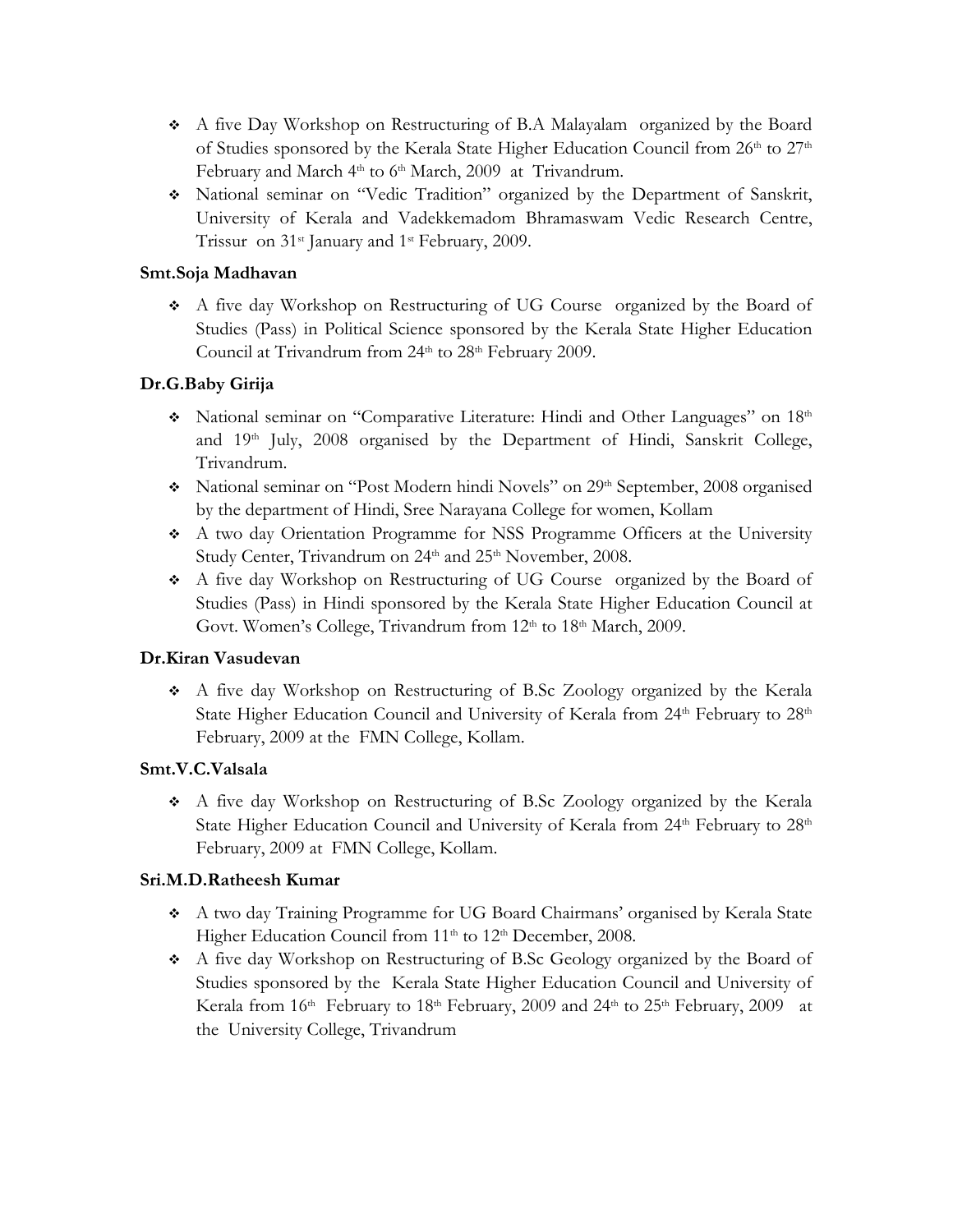- A five Day Workshop on Restructuring of B.A Malayalam organized by the Board of Studies sponsored by the Kerala State Higher Education Council from  $26<sup>th</sup>$  to  $27<sup>th</sup>$ February and March 4<sup>th</sup> to 6<sup>th</sup> March, 2009 at *Trivandrum*.
- National seminar on "Vedic Tradition" organized by the Department of Sanskrit, University of Kerala and Vadekkemadom Bhramaswam Vedic Research Centre, Trissur on 31<sup>st</sup> January and 1<sup>st</sup> February, 2009.

# **Smt.Soja Madhavan**

 A five day Workshop on Restructuring of UG Course organized by the Board of Studies (Pass) in Political Science sponsored by the Kerala State Higher Education Council at Trivandrum from 24<sup>th</sup> to 28<sup>th</sup> February 2009.

# **Dr.G.Baby Girija**

- National seminar on "Comparative Literature: Hindi and Other Languages" on 18th and 19th July, 2008 organised by the Department of Hindi, Sanskrit College, Trivandrum.
- \* National seminar on "Post Modern hindi Novels" on 29th September, 2008 organised by the department of Hindi, Sree Narayana College for women, Kollam
- A two day Orientation Programme for NSS Programme Officers at the University Study Center, Trivandrum on 24<sup>th</sup> and 25<sup>th</sup> November, 2008.
- A five day Workshop on Restructuring of UG Course organized by the Board of Studies (Pass) in Hindi sponsored by the Kerala State Higher Education Council at Govt. Women's College, Trivandrum from 12<sup>th</sup> to 18<sup>th</sup> March, 2009.

# **Dr.Kiran Vasudevan**

 A five day Workshop on Restructuring of B.Sc Zoology organized by the Kerala State Higher Education Council and University of Kerala from 24<sup>th</sup> February to 28<sup>th</sup> February, 2009 at theFMN College, Kollam.

# **Smt.V.C.Valsala**

 A five day Workshop on Restructuring of B.Sc Zoology organized by the Kerala State Higher Education Council and University of Kerala from  $24<sup>th</sup>$  February to  $28<sup>th</sup>$ February, 2009 atFMN College, Kollam.

# **Sri.M.D.Ratheesh Kumar**

- A two day Training Programme for UG Board Chairmans' organised by Kerala State Higher Education Council from 11<sup>th</sup> to 12<sup>th</sup> December, 2008.
- A five day Workshop on Restructuring of B.Sc Geology organized by the Board of Studies sponsored by the Kerala State Higher Education Council and University of Kerala from 16<sup>th</sup> February to 18<sup>th</sup> February, 2009 and 24<sup>th</sup> to 25<sup>th</sup> February, 2009 at the University College, Trivandrum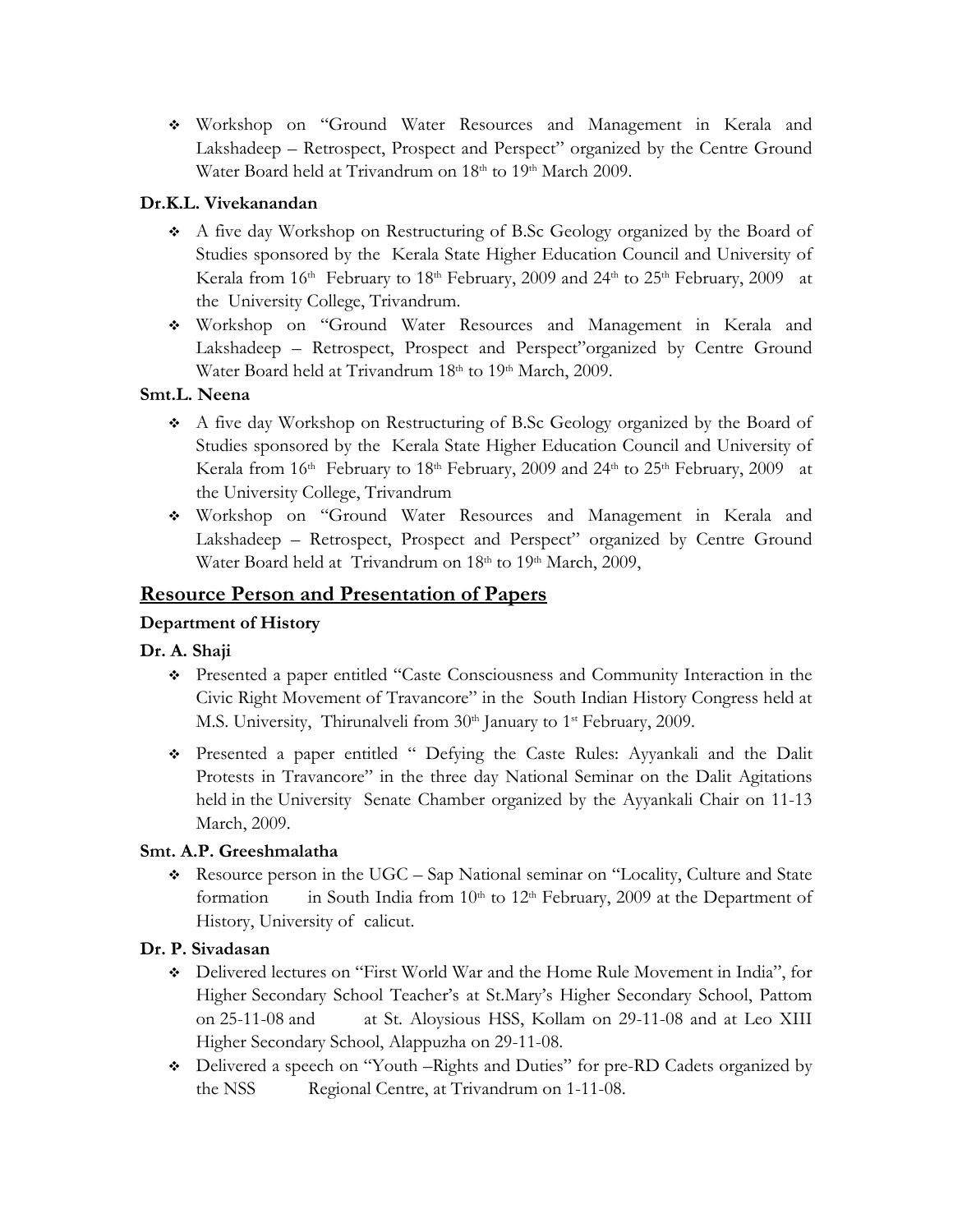Workshop on "Ground Water Resources and Management in Kerala and Lakshadeep – Retrospect, Prospect and Perspect" organized by the Centre Ground Water Board held at Trivandrum on 18<sup>th</sup> to 19<sup>th</sup> March 2009.

# **Dr.K.L. Vivekanandan**

- A five day Workshop on Restructuring of B.Sc Geology organized by the Board of Studies sponsored by the Kerala State Higher Education Council and University of Kerala from 16<sup>th</sup> February to 18<sup>th</sup> February, 2009 and 24<sup>th</sup> to 25<sup>th</sup> February, 2009 at theUniversity College, Trivandrum.
- Workshop on "Ground Water Resources and Management in Kerala and Lakshadeep – Retrospect, Prospect and Perspect"organized by Centre Ground Water Board held at Trivandrum 18<sup>th</sup> to 19<sup>th</sup> March, 2009.

# **Smt.L. Neena**

- A five day Workshop on Restructuring of B.Sc Geology organized by the Board of Studies sponsored by the Kerala State Higher Education Council and University of Kerala from 16<sup>th</sup> February to 18<sup>th</sup> February, 2009 and 24<sup>th</sup> to 25<sup>th</sup> February, 2009 at the University College, Trivandrum
- Workshop on "Ground Water Resources and Management in Kerala and Lakshadeep – Retrospect, Prospect and Perspect" organized by Centre Ground Water Board held at Trivandrum on 18<sup>th</sup> to 19<sup>th</sup> March, 2009,

# **Resource Person and Presentation of Papers**

# **Department of History**

# **Dr. A. Shaji**

- Presented a paper entitled "Caste Consciousness and Community Interaction in the Civic Right Movement of Travancore" in the South Indian History Congress held at M.S. University, Thirunalveli from 30<sup>th</sup> January to 1<sup>st</sup> February, 2009.
- Presented a paper entitled " Defying the Caste Rules: Ayyankali and the Dalit Protests in Travancore" in the three day National Seminar on the Dalit Agitations held in the University Senate Chamber organized by the Ayyankali Chair on 11-13 March, 2009.

# **Smt. A.P. Greeshmalatha**

Resource person in the UGC – Sap National seminar on "Locality, Culture and State" formation in South India from  $10<sup>th</sup>$  to  $12<sup>th</sup>$  February, 2009 at the Department of History, University of calicut.

# **Dr. P. Sivadasan**

- Delivered lectures on "First World War and the Home Rule Movement in India", for Higher Secondary School Teacher's at St.Mary's Higher Secondary School, Pattom on 25-11-08 and at St. Aloysious HSS, Kollam on 29-11-08 and at Leo XIII Higher Secondary School, Alappuzha on 29-11-08.
- Delivered a speech on "Youth –Rights and Duties" for pre-RD Cadets organized by the NSS Regional Centre, at Trivandrum on 1-11-08.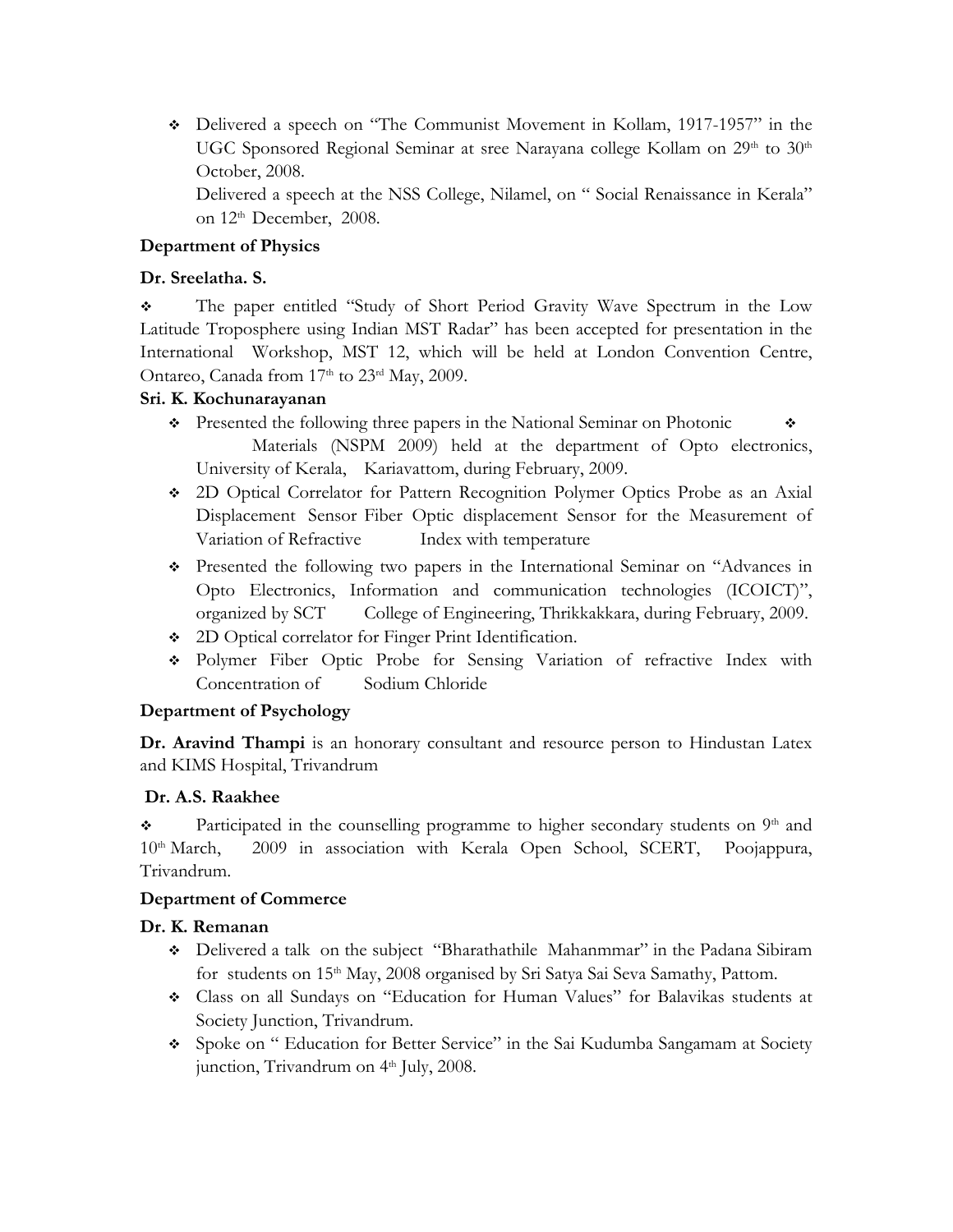Delivered a speech on "The Communist Movement in Kollam, 1917-1957" in the UGC Sponsored Regional Seminar at sree Narayana college Kollam on 29<sup>th</sup> to 30<sup>th</sup> October, 2008.

 Delivered a speech at the NSS College, Nilamel, on " Social Renaissance in Kerala" on 12<sup>th</sup> December, 2008.

# **Department of Physics**

## **Dr. Sreelatha. S.**

 The paper entitled "Study of Short Period Gravity Wave Spectrum in the Low Latitude Troposphere using Indian MST Radar" has been accepted for presentation in the International Workshop, MST 12, which will be held at London Convention Centre, Ontareo, Canada from 17th to 23rd May, 2009.

## **Sri. K. Kochunarayanan**

- $\bullet$  Presented the following three papers in the National Seminar on Photonic  $\bullet$ Materials (NSPM 2009) held at the department of Opto electronics, University of Kerala, Kariavattom, during February, 2009.
- 2D Optical Correlator for Pattern Recognition Polymer Optics Probe as an Axial Displacement Sensor Fiber Optic displacement Sensor for the Measurement of Variation of Refractive Index with temperature
- Presented the following two papers in the International Seminar on "Advances in Opto Electronics, Information and communication technologies (ICOICT)", organized by SCT College of Engineering, Thrikkakkara, during February, 2009.
- 2D Optical correlator for Finger Print Identification.
- Polymer Fiber Optic Probe for Sensing Variation of refractive Index with Concentration of Sodium Chloride

# **Department of Psychology**

**Dr. Aravind Thampi** is an honorary consultant and resource person to Hindustan Latex and KIMS Hospital, Trivandrum

# **Dr. A.S. Raakhee**

 $\bullet$  Participated in the counselling programme to higher secondary students on  $9<sup>th</sup>$  and 10<sup>th</sup> March, 2009 in association with Kerala Open School, SCERT, Poojappura, Trivandrum.

### **Department of Commerce**

# **Dr. K. Remanan**

- Delivered a talk on the subject "Bharathathile Mahanmmar" in the Padana Sibiram for students on 15<sup>th</sup> May, 2008 organised by Sri Satya Sai Seva Samathy, Pattom.
- Class on all Sundays on "Education for Human Values" for Balavikas students at Society Junction, Trivandrum.
- Spoke on " Education for Better Service" in the Sai Kudumba Sangamam at Society junction, Trivandrum on 4<sup>th</sup> July, 2008.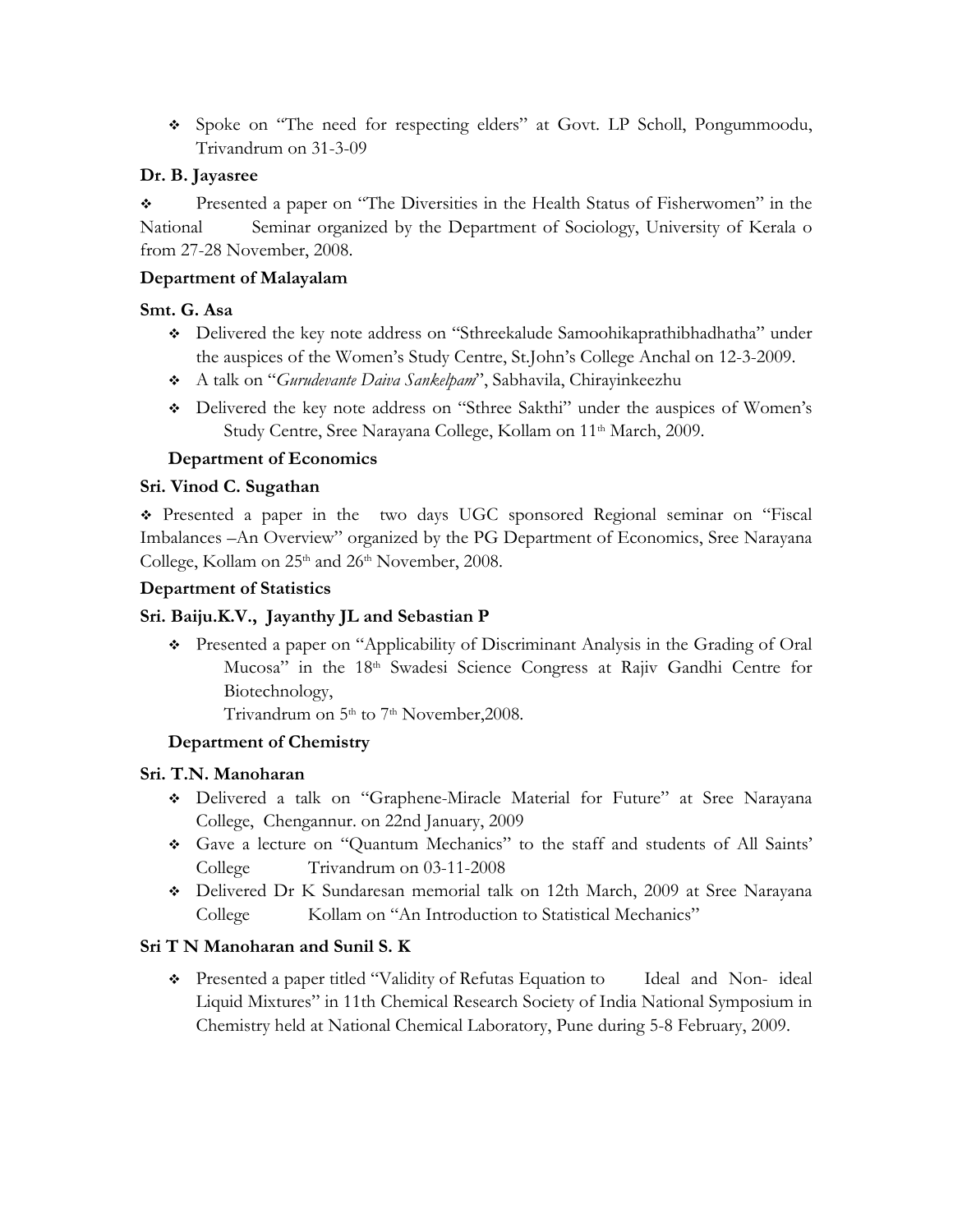Spoke on "The need for respecting elders" at Govt. LP Scholl, Pongummoodu, Trivandrum on 31-3-09

# **Dr. B. Jayasree**

 Presented a paper on "The Diversities in the Health Status of Fisherwomen" in the National Seminar organized by the Department of Sociology, University of Kerala o from 27-28 November, 2008.

## **Department of Malayalam**

## **Smt. G. Asa**

- Delivered the key note address on "Sthreekalude Samoohikaprathibhadhatha" under the auspices of the Women's Study Centre, St.John's College Anchal on 12-3-2009.
- A talk on "*Gurudevante Daiva Sankelpam*", Sabhavila, Chirayinkeezhu
- Delivered the key note address on "Sthree Sakthi" under the auspices of Women's Study Centre, Sree Narayana College, Kollam on 11<sup>th</sup> March, 2009.

# **Department of Economics**

## **Sri. Vinod C. Sugathan**

 Presented a paper in the two days UGC sponsored Regional seminar on "Fiscal Imbalances –An Overview" organized by the PG Department of Economics, Sree Narayana College, Kollam on 25<sup>th</sup> and 26<sup>th</sup> November, 2008.

### **Department of Statistics**

### **Sri. Baiju.K.V., Jayanthy JL and Sebastian P**

 Presented a paper on "Applicability of Discriminant Analysis in the Grading of Oral Mucosa" in the 18<sup>th</sup> Swadesi Science Congress at Rajiv Gandhi Centre for Biotechnology,

Trivandrum on 5<sup>th</sup> to 7<sup>th</sup> November, 2008.

### **Department of Chemistry**

### **Sri. T.N. Manoharan**

- Delivered a talk on "Graphene-Miracle Material for Future" at Sree Narayana College, Chengannur. on 22nd January, 2009
- Gave a lecture on "Quantum Mechanics" to the staff and students of All Saints' College Trivandrum on 03-11-2008
- Delivered Dr K Sundaresan memorial talk on 12th March, 2009 at Sree Narayana College Kollam on "An Introduction to Statistical Mechanics"

# **Sri T N Manoharan and Sunil S. K**

• Presented a paper titled "Validity of Refutas Equation to Ideal and Non-ideal Liquid Mixtures" in 11th Chemical Research Society of India National Symposium in Chemistry held at National Chemical Laboratory, Pune during 5-8 February, 2009.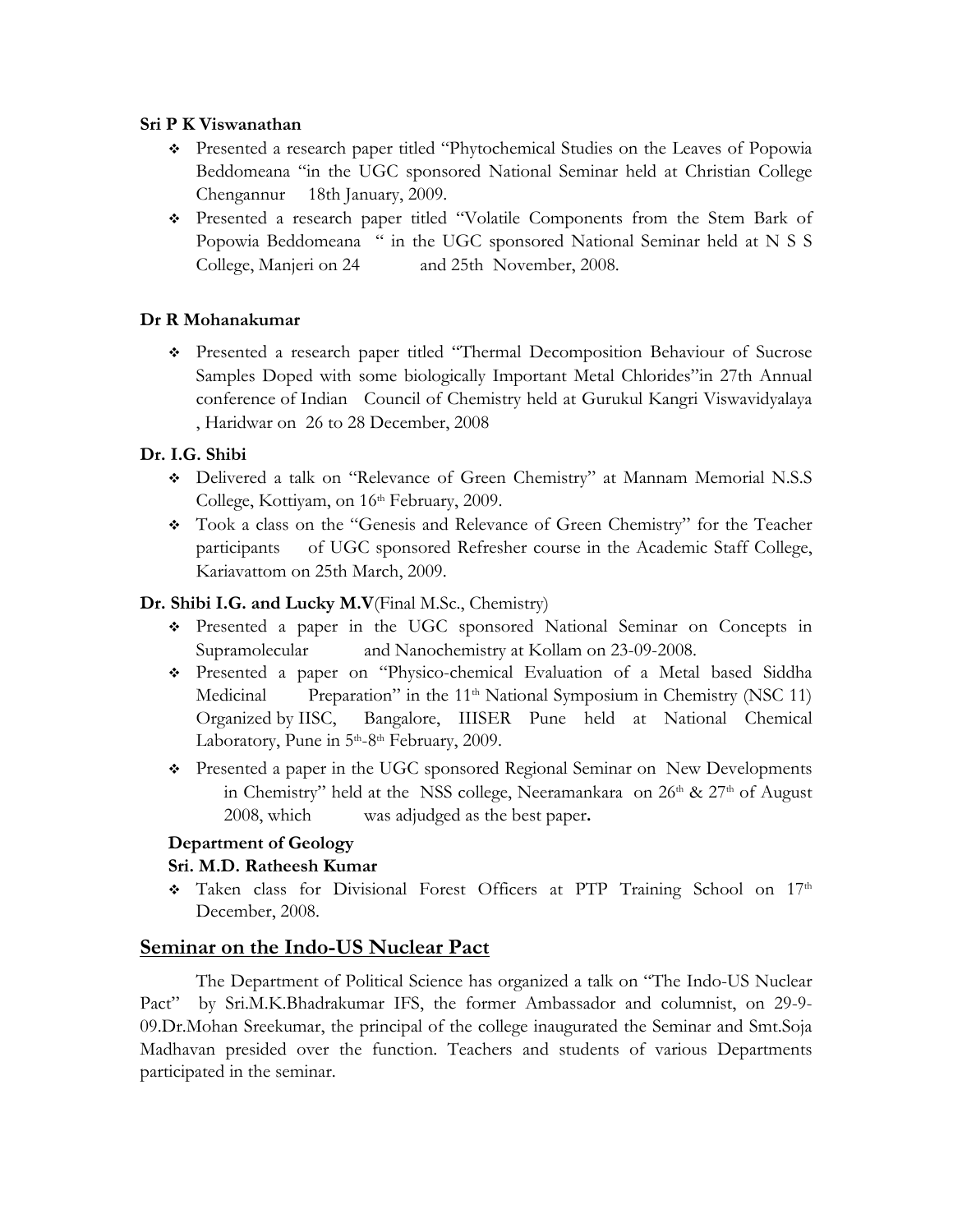## **Sri P K Viswanathan**

- Presented a research paper titled "Phytochemical Studies on the Leaves of Popowia Beddomeana "in the UGC sponsored National Seminar held at Christian College Chengannur 18th January, 2009.
- Presented a research paper titled "Volatile Components from the Stem Bark of Popowia Beddomeana " in the UGC sponsored National Seminar held at N S S College, Manjeri on 24 and 25th November, 2008.

## **Dr R Mohanakumar**

 Presented a research paper titled "Thermal Decomposition Behaviour of Sucrose Samples Doped with some biologically Important Metal Chlorides"in 27th Annual conference of Indian Council of Chemistry held at Gurukul Kangri Viswavidyalaya , Haridwar on 26 to 28 December, 2008

# **Dr. I.G. Shibi**

- Delivered a talk on "Relevance of Green Chemistry" at Mannam Memorial N.S.S College, Kottiyam, on 16<sup>th</sup> February, 2009.
- Took a class on the "Genesis and Relevance of Green Chemistry" for the Teacher participants of UGC sponsored Refresher course in the Academic Staff College, Kariavattom on 25th March, 2009.

# **Dr. Shibi I.G. and Lucky M.V**(Final M.Sc., Chemistry)

- Presented a paper in the UGC sponsored National Seminar on Concepts in Supramolecular and Nanochemistry at Kollam on 23-09-2008.
- Presented a paper on "Physico-chemical Evaluation of a Metal based Siddha Medicinal Preparation" in the 11<sup>th</sup> National Symposium in Chemistry (NSC 11) Organized by IISC, Bangalore, IIISER Pune held at National Chemical Laboratory, Pune in  $5<sup>th</sup>-8<sup>th</sup>$  February, 2009.
- Presented a paper in the UGC sponsored Regional Seminar on New Developments in Chemistry" held at the NSS college, Neeramankara on 26<sup>th</sup> & 27<sup>th</sup> of August 2008, which was adjudged as the best paper**.**

# **Department of Geology**

# **Sri. M.D. Ratheesh Kumar**

\* Taken class for Divisional Forest Officers at PTP Training School on 17th December, 2008.

# **Seminar on the Indo-US Nuclear Pact**

 The Department of Political Science has organized a talk on "The Indo-US Nuclear Pact" by Sri.M.K.Bhadrakumar IFS, the former Ambassador and columnist, on 29-9- 09.Dr.Mohan Sreekumar, the principal of the college inaugurated the Seminar and Smt.Soja Madhavan presided over the function. Teachers and students of various Departments participated in the seminar.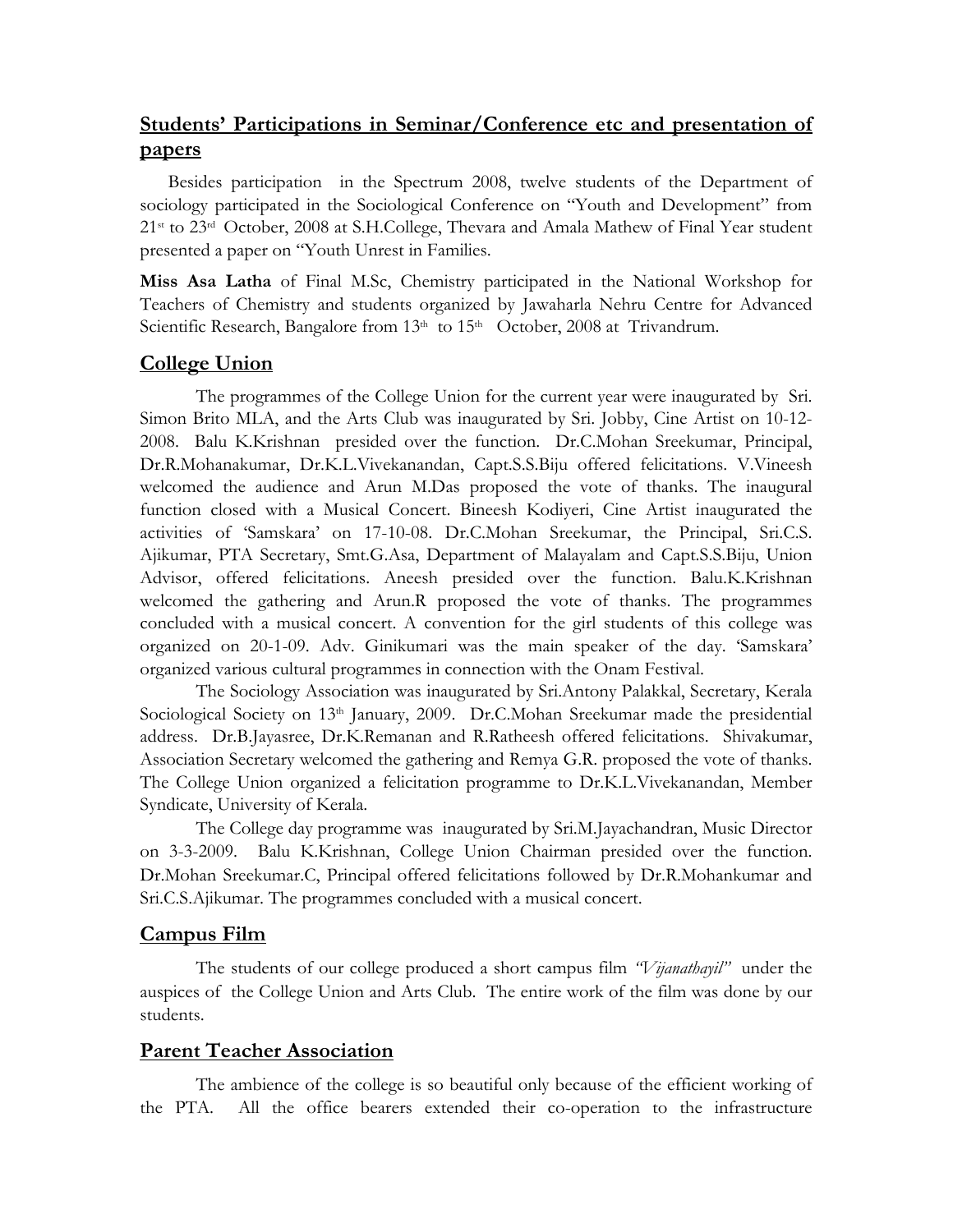# **Students' Participations in Seminar/Conference etc and presentation of papers**

Besides participation in the Spectrum 2008, twelve students of the Department of sociology participated in the Sociological Conference on "Youth and Development" from 21st to 23rd October, 2008 at S.H.College, Thevara and Amala Mathew of Final Year student presented a paper on "Youth Unrest in Families.

**Miss Asa Latha** of Final M.Sc, Chemistry participated in the National Workshop for Teachers of Chemistry and students organized by Jawaharla Nehru Centre for Advanced Scientific Research, Bangalore from 13<sup>th</sup> to 15<sup>th</sup> October, 2008 at Trivandrum.

# **College Union**

 The programmes of the College Union for the current year were inaugurated by Sri. Simon Brito MLA, and the Arts Club was inaugurated by Sri. Jobby, Cine Artist on 10-12- 2008. Balu K.Krishnan presided over the function. Dr.C.Mohan Sreekumar, Principal, Dr.R.Mohanakumar, Dr.K.L.Vivekanandan, Capt.S.S.Biju offered felicitations. V.Vineesh welcomed the audience and Arun M.Das proposed the vote of thanks. The inaugural function closed with a Musical Concert. Bineesh Kodiyeri, Cine Artist inaugurated the activities of 'Samskara' on 17-10-08. Dr.C.Mohan Sreekumar, the Principal, Sri.C.S. Ajikumar, PTA Secretary, Smt.G.Asa, Department of Malayalam and Capt.S.S.Biju, Union Advisor, offered felicitations. Aneesh presided over the function. Balu.K.Krishnan welcomed the gathering and Arun.R proposed the vote of thanks. The programmes concluded with a musical concert. A convention for the girl students of this college was organized on 20-1-09. Adv. Ginikumari was the main speaker of the day. 'Samskara' organized various cultural programmes in connection with the Onam Festival.

 The Sociology Association was inaugurated by Sri.Antony Palakkal, Secretary, Kerala Sociological Society on 13<sup>th</sup> January, 2009. Dr.C.Mohan Sreekumar made the presidential address. Dr.B.Jayasree, Dr.K.Remanan and R.Ratheesh offered felicitations. Shivakumar, Association Secretary welcomed the gathering and Remya G.R. proposed the vote of thanks. The College Union organized a felicitation programme to Dr.K.L.Vivekanandan, Member Syndicate, University of Kerala.

The College day programme was inaugurated by Sri.M.Jayachandran, Music Director on 3-3-2009. Balu K.Krishnan, College Union Chairman presided over the function. Dr.Mohan Sreekumar.C, Principal offered felicitations followed by Dr.R.Mohankumar and Sri.C.S.Ajikumar. The programmes concluded with a musical concert.

# **Campus Film**

The students of our college produced a short campus film *"Vijanathayil"* under the auspices of the College Union and Arts Club. The entire work of the film was done by our students.

# **Parent Teacher Association**

 The ambience of the college is so beautiful only because of the efficient working of the PTA. All the office bearers extended their co-operation to the infrastructure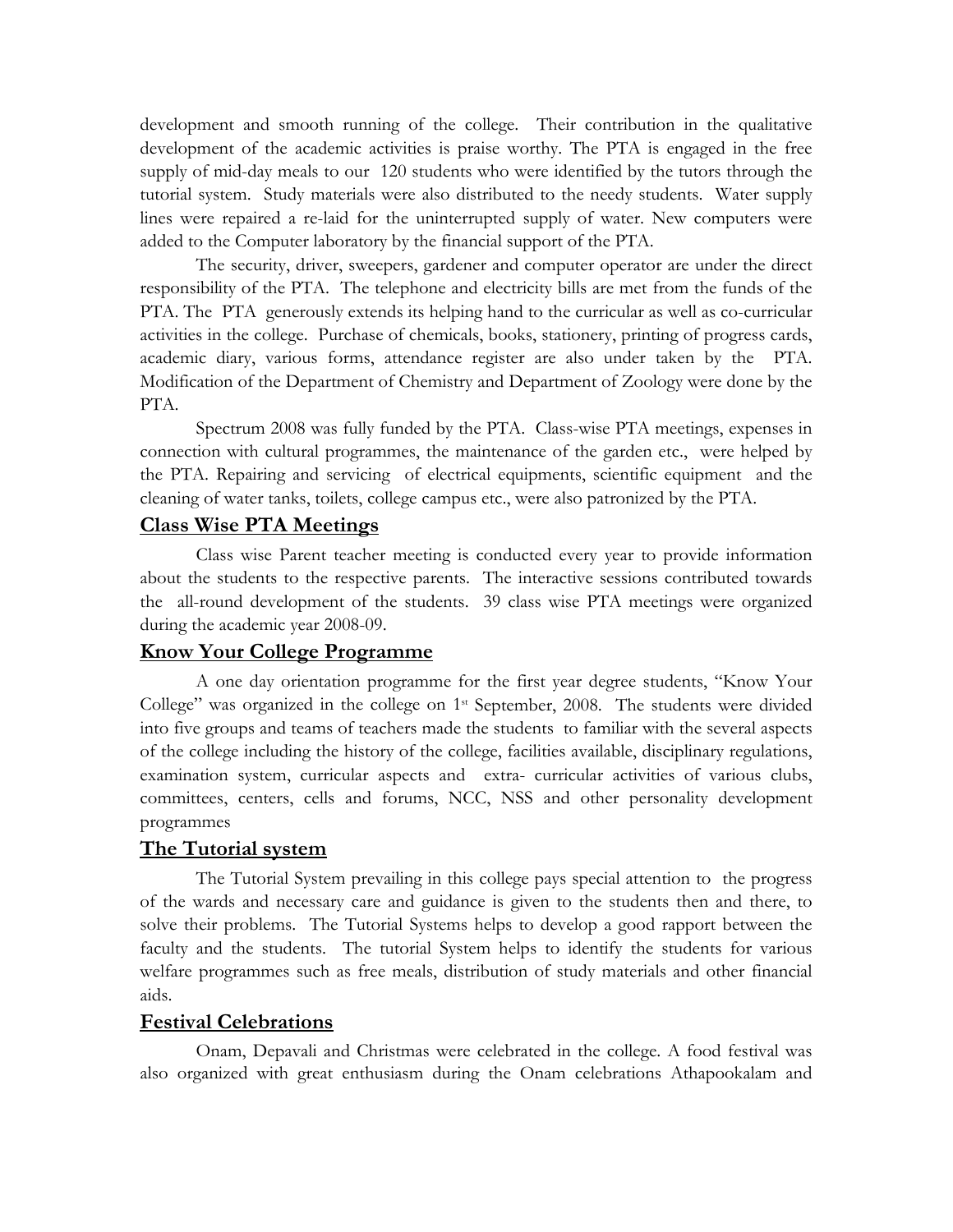development and smooth running of the college. Their contribution in the qualitative development of the academic activities is praise worthy. The PTA is engaged in the free supply of mid-day meals to our 120 students who were identified by the tutors through the tutorial system. Study materials were also distributed to the needy students. Water supply lines were repaired a re-laid for the uninterrupted supply of water. New computers were added to the Computer laboratory by the financial support of the PTA.

 The security, driver, sweepers, gardener and computer operator are under the direct responsibility of the PTA. The telephone and electricity bills are met from the funds of the PTA. The PTA generously extends its helping hand to the curricular as well as co-curricular activities in the college. Purchase of chemicals, books, stationery, printing of progress cards, academic diary, various forms, attendance register are also under taken by the PTA. Modification of the Department of Chemistry and Department of Zoology were done by the PTA.

Spectrum 2008 was fully funded by the PTA. Class-wise PTA meetings, expenses in connection with cultural programmes, the maintenance of the garden etc., were helped by the PTA. Repairing and servicing of electrical equipments, scientific equipment and the cleaning of water tanks, toilets, college campus etc., were also patronized by the PTA.

### **Class Wise PTA Meetings**

 Class wise Parent teacher meeting is conducted every year to provide information about the students to the respective parents. The interactive sessions contributed towards the all-round development of the students. 39 class wise PTA meetings were organized during the academic year 2008-09.

#### **Know Your College Programme**

 A one day orientation programme for the first year degree students, "Know Your College" was organized in the college on 1<sup>st</sup> September, 2008. The students were divided into five groups and teams of teachers made the students to familiar with the several aspects of the college including the history of the college, facilities available, disciplinary regulations, examination system, curricular aspects and extra- curricular activities of various clubs, committees, centers, cells and forums, NCC, NSS and other personality development programmes

#### **The Tutorial system**

 The Tutorial System prevailing in this college pays special attention to the progress of the wards and necessary care and guidance is given to the students then and there, to solve their problems. The Tutorial Systems helps to develop a good rapport between the faculty and the students. The tutorial System helps to identify the students for various welfare programmes such as free meals, distribution of study materials and other financial aids.

#### **Festival Celebrations**

 Onam, Depavali and Christmas were celebrated in the college. A food festival was also organized with great enthusiasm during the Onam celebrations Athapookalam and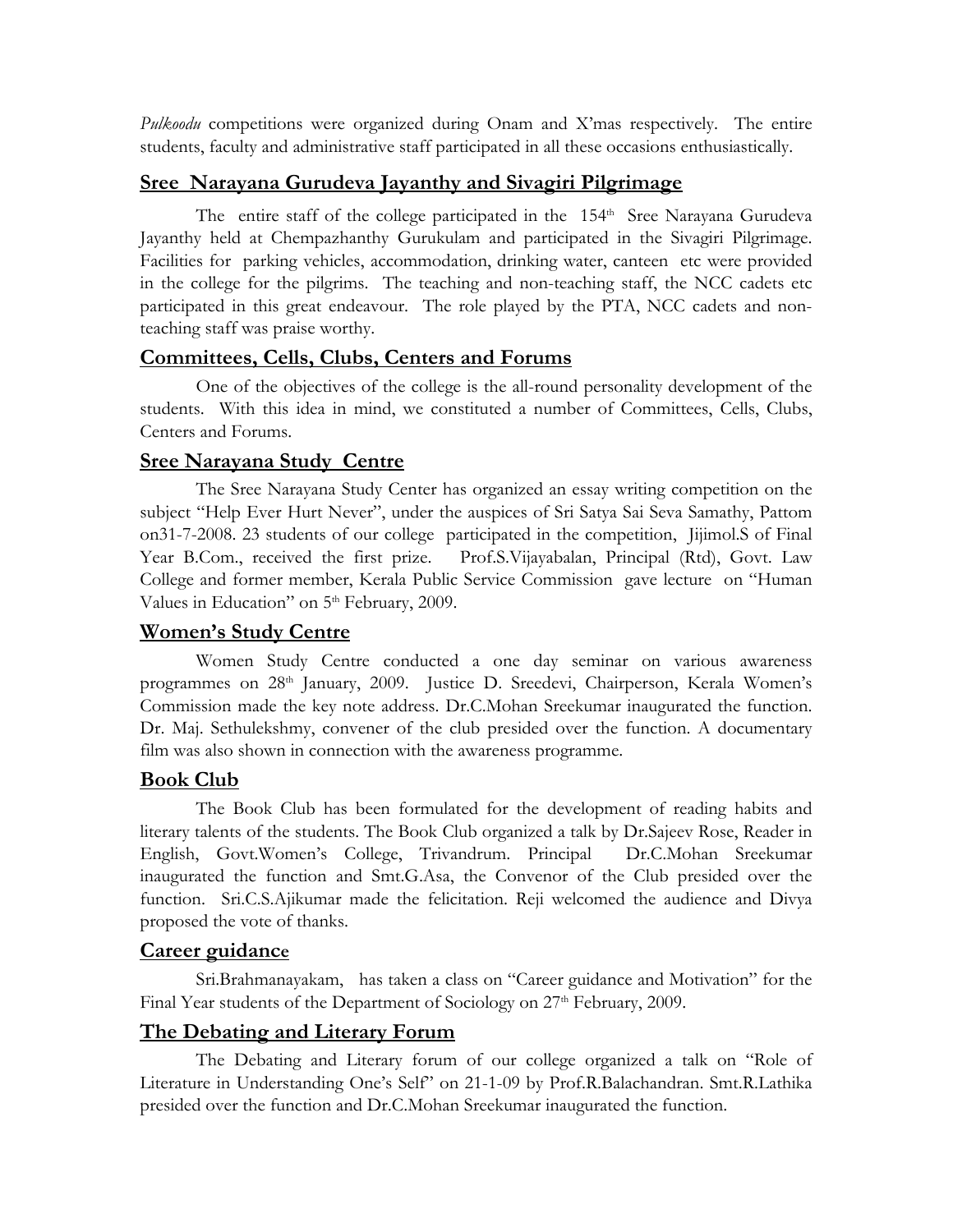*Pulkoodu* competitions were organized during Onam and X'mas respectively. The entire students, faculty and administrative staff participated in all these occasions enthusiastically.

# **Sree Narayana Gurudeva Jayanthy and Sivagiri Pilgrimage**

The entire staff of the college participated in the 154<sup>th</sup> Sree Narayana Gurudeva Jayanthy held at Chempazhanthy Gurukulam and participated in the Sivagiri Pilgrimage. Facilities for parking vehicles, accommodation, drinking water, canteen etc were provided in the college for the pilgrims. The teaching and non-teaching staff, the NCC cadets etc participated in this great endeavour. The role played by the PTA, NCC cadets and nonteaching staff was praise worthy.

# **Committees, Cells, Clubs, Centers and Forums**

One of the objectives of the college is the all-round personality development of the students. With this idea in mind, we constituted a number of Committees, Cells, Clubs, Centers and Forums.

# **Sree Narayana Study Centre**

The Sree Narayana Study Center has organized an essay writing competition on the subject "Help Ever Hurt Never", under the auspices of Sri Satya Sai Seva Samathy, Pattom on31-7-2008. 23 students of our college participated in the competition, Jijimol.S of Final Year B.Com., received the first prize. Prof.S.Vijayabalan, Principal (Rtd), Govt. Law College and former member, Kerala Public Service Commission gave lecture on "Human Values in Education" on 5<sup>th</sup> February, 2009.

# **Women's Study Centre**

 Women Study Centre conducted a one day seminar on various awareness programmes on 28th January, 2009. Justice D. Sreedevi, Chairperson, Kerala Women's Commission made the key note address. Dr.C.Mohan Sreekumar inaugurated the function. Dr. Maj. Sethulekshmy, convener of the club presided over the function. A documentary film was also shown in connection with the awareness programme.

# **Book Club**

 The Book Club has been formulated for the development of reading habits and literary talents of the students. The Book Club organized a talk by Dr.Sajeev Rose, Reader in English, Govt.Women's College, Trivandrum. Principal Dr.C.Mohan Sreekumar inaugurated the function and Smt.G.Asa, the Convenor of the Club presided over the function. Sri.C.S.Ajikumar made the felicitation. Reji welcomed the audience and Divya proposed the vote of thanks.

# **Career guidance**

 Sri.Brahmanayakam, has taken a class on "Career guidance and Motivation" for the Final Year students of the Department of Sociology on 27<sup>th</sup> February, 2009.

# **The Debating and Literary Forum**

The Debating and Literary forum of our college organized a talk on "Role of Literature in Understanding One's Self" on 21-1-09 by Prof.R.Balachandran. Smt.R.Lathika presided over the function and Dr.C.Mohan Sreekumar inaugurated the function.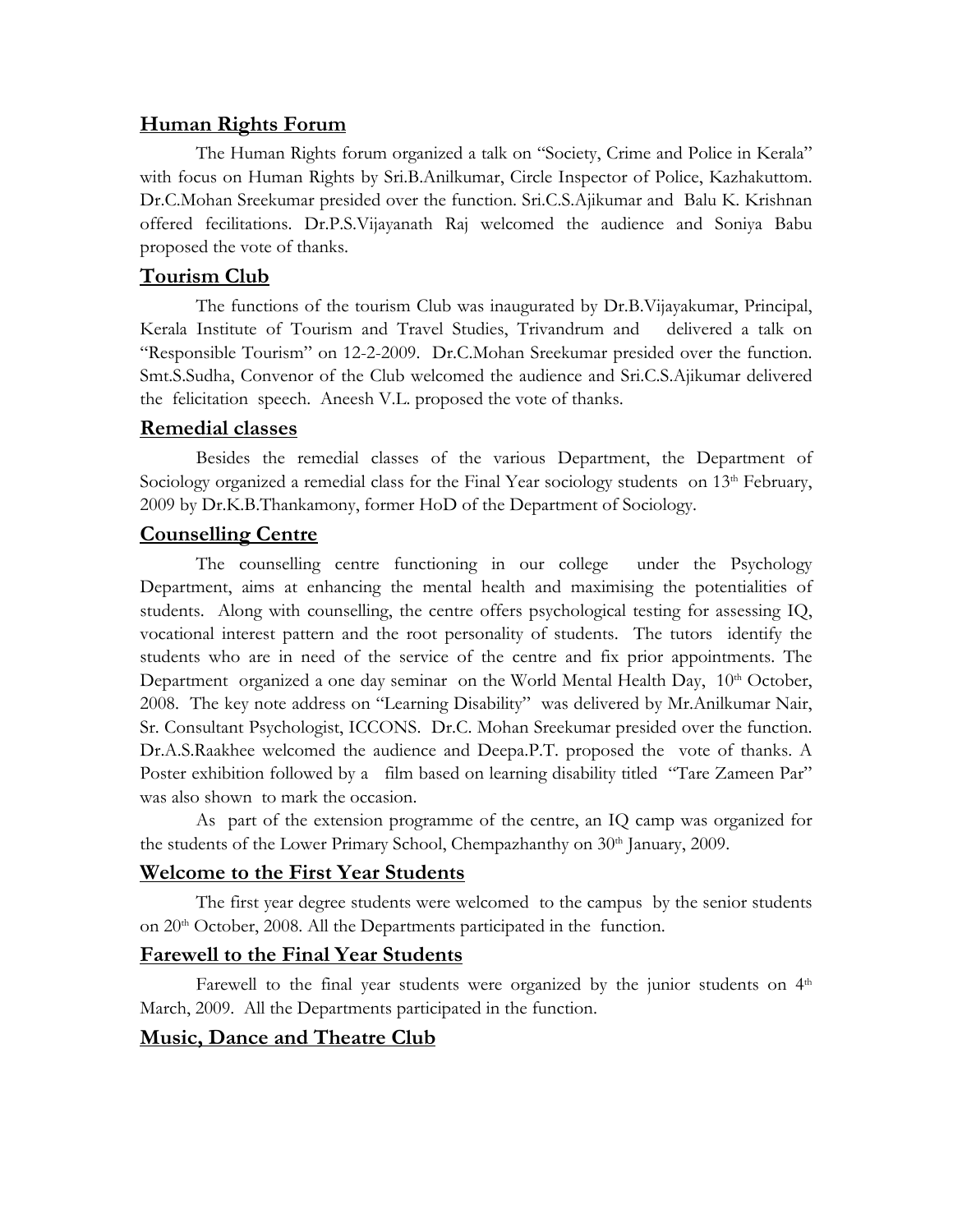## **Human Rights Forum**

 The Human Rights forum organized a talk on "Society, Crime and Police in Kerala" with focus on Human Rights by Sri.B.Anilkumar, Circle Inspector of Police, Kazhakuttom. Dr.C.Mohan Sreekumar presided over the function. Sri.C.S.Ajikumar and Balu K. Krishnan offered fecilitations. Dr.P.S.Vijayanath Raj welcomed the audience and Soniya Babu proposed the vote of thanks.

## **Tourism Club**

 The functions of the tourism Club was inaugurated by Dr.B.Vijayakumar, Principal, Kerala Institute of Tourism and Travel Studies, Trivandrum and delivered a talk on "Responsible Tourism" on 12-2-2009. Dr.C.Mohan Sreekumar presided over the function. Smt.S.Sudha, Convenor of the Club welcomed the audience and Sri.C.S.Ajikumar delivered the felicitation speech. Aneesh V.L. proposed the vote of thanks.

### **Remedial classes**

 Besides the remedial classes of the various Department, the Department of Sociology organized a remedial class for the Final Year sociology students on 13<sup>th</sup> February, 2009 by Dr.K.B.Thankamony, former HoD of the Department of Sociology.

## **Counselling Centre**

 The counselling centre functioning in our college under the Psychology Department, aims at enhancing the mental health and maximising the potentialities of students. Along with counselling, the centre offers psychological testing for assessing IQ, vocational interest pattern and the root personality of students. The tutors identify the students who are in need of the service of the centre and fix prior appointments. The Department organized a one day seminar on the World Mental Health Day, 10th October, 2008. The key note address on "Learning Disability" was delivered by Mr.Anilkumar Nair, Sr. Consultant Psychologist, ICCONS. Dr.C. Mohan Sreekumar presided over the function. Dr.A.S.Raakhee welcomed the audience and Deepa.P.T. proposed the vote of thanks. A Poster exhibition followed by a film based on learning disability titled "Tare Zameen Par" was also shown to mark the occasion.

As part of the extension programme of the centre, an IQ camp was organized for the students of the Lower Primary School, Chempazhanthy on 30<sup>th</sup> January, 2009.

### **Welcome to the First Year Students**

 The first year degree students were welcomed to the campus by the senior students on 20<sup>th</sup> October, 2008. All the Departments participated in the function.

# **Farewell to the Final Year Students**

Farewell to the final year students were organized by the junior students on  $4<sup>th</sup>$ March, 2009. All the Departments participated in the function.

# **Music, Dance and Theatre Club**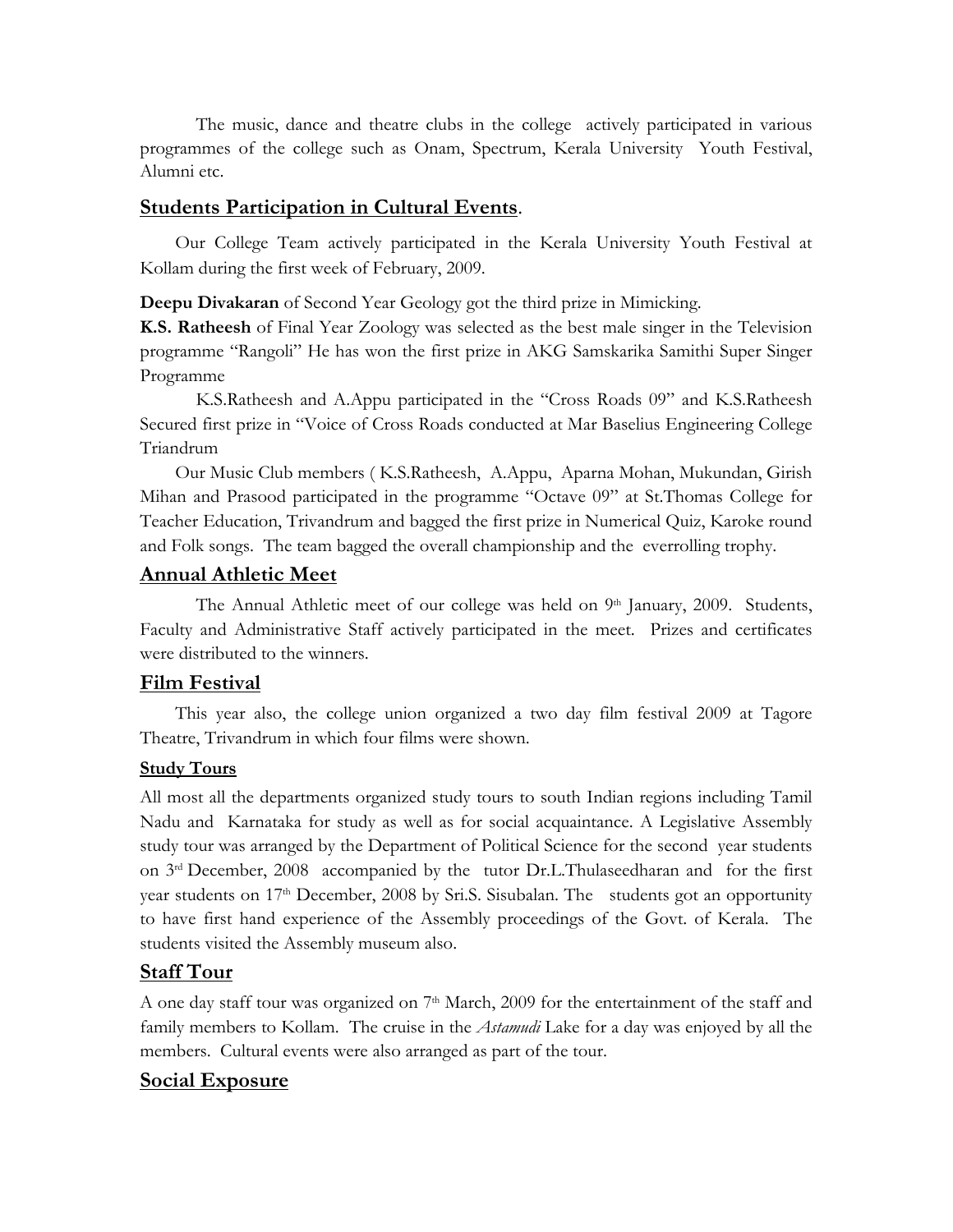The music, dance and theatre clubs in the college actively participated in various programmes of the college such as Onam, Spectrum, Kerala University Youth Festival, Alumni etc.

#### **Students Participation in Cultural Events**.

Our College Team actively participated in the Kerala University Youth Festival at Kollam during the first week of February, 2009.

**Deepu Divakaran** of Second Year Geology got the third prize in Mimicking.

**K.S. Ratheesh** of Final Year Zoology was selected as the best male singer in the Television programme "Rangoli" He has won the first prize in AKG Samskarika Samithi Super Singer Programme

 K.S.Ratheesh and A.Appu participated in the "Cross Roads 09" and K.S.Ratheesh Secured first prize in "Voice of Cross Roads conducted at Mar Baselius Engineering College Triandrum

Our Music Club members ( K.S.Ratheesh, A.Appu, Aparna Mohan, Mukundan, Girish Mihan and Prasood participated in the programme "Octave 09" at St.Thomas College for Teacher Education, Trivandrum and bagged the first prize in Numerical Quiz, Karoke round and Folk songs. The team bagged the overall championship and the everrolling trophy.

#### **Annual Athletic Meet**

The Annual Athletic meet of our college was held on 9<sup>th</sup> January, 2009. Students, Faculty and Administrative Staff actively participated in the meet. Prizes and certificates were distributed to the winners.

#### **Film Festival**

This year also, the college union organized a two day film festival 2009 at Tagore Theatre, Trivandrum in which four films were shown.

#### **Study Tours**

All most all the departments organized study tours to south Indian regions including Tamil Nadu and Karnataka for study as well as for social acquaintance. A Legislative Assembly study tour was arranged by the Department of Political Science for the second year students on 3rd December, 2008 accompanied by the tutor Dr.L.Thulaseedharan and for the first year students on 17<sup>th</sup> December, 2008 by Sri.S. Sisubalan. The students got an opportunity to have first hand experience of the Assembly proceedings of the Govt. of Kerala. The students visited the Assembly museum also.

### **Staff Tour**

A one day staff tour was organized on 7<sup>th</sup> March, 2009 for the entertainment of the staff and family members to Kollam. The cruise in the *Astamudi* Lake for a day was enjoyed by all the members. Cultural events were also arranged as part of the tour.

### **Social Exposure**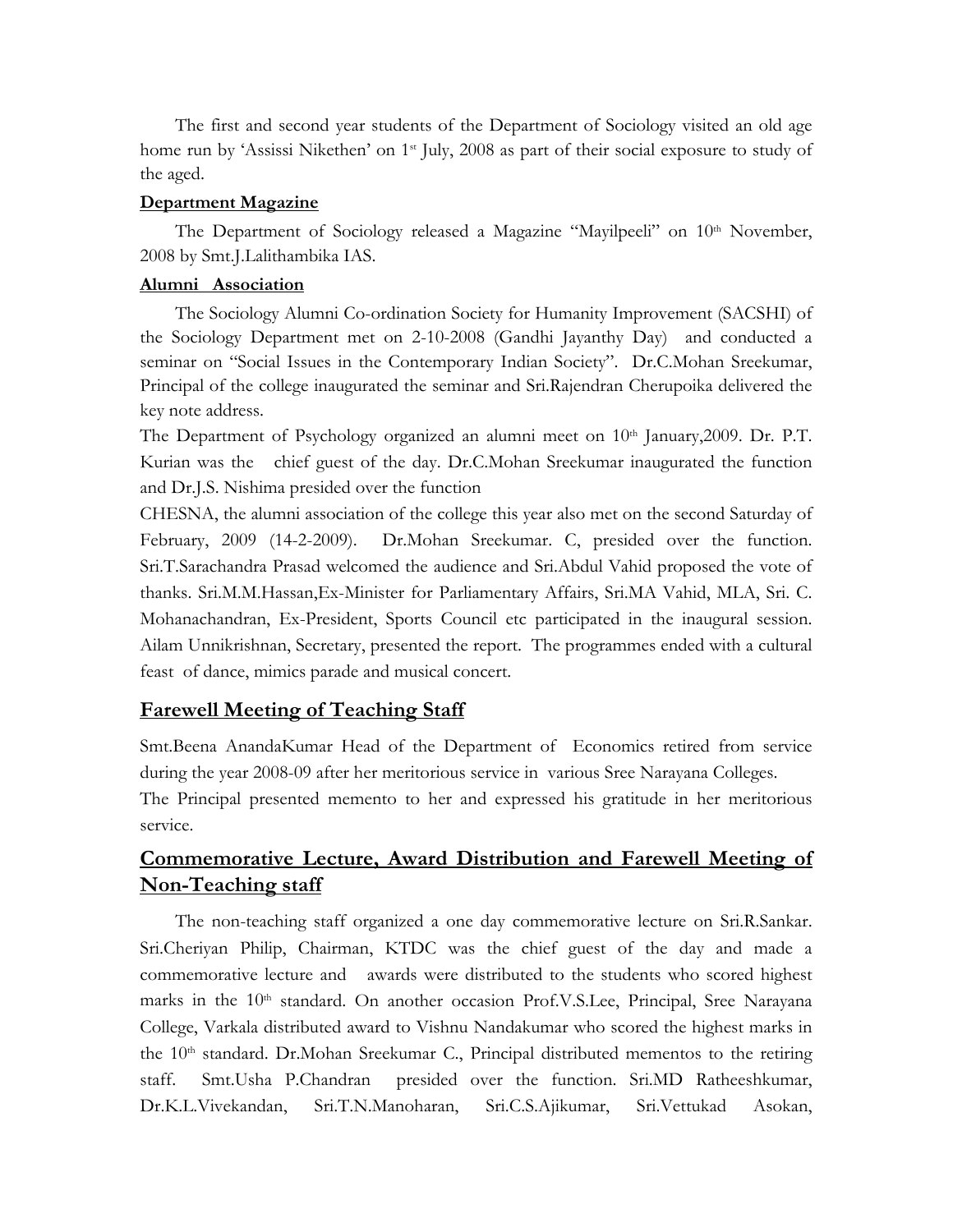The first and second year students of the Department of Sociology visited an old age home run by 'Assissi Nikethen' on  $1<sup>st</sup>$  July, 2008 as part of their social exposure to study of the aged.

#### **Department Magazine**

The Department of Sociology released a Magazine "Mayilpeeli" on 10<sup>th</sup> November, 2008 by Smt.J.Lalithambika IAS.

### **Alumni Association**

The Sociology Alumni Co-ordination Society for Humanity Improvement (SACSHI) of the Sociology Department met on 2-10-2008 (Gandhi Jayanthy Day) and conducted a seminar on "Social Issues in the Contemporary Indian Society". Dr.C.Mohan Sreekumar, Principal of the college inaugurated the seminar and Sri.Rajendran Cherupoika delivered the key note address.

The Department of Psychology organized an alumni meet on 10<sup>th</sup> January, 2009. Dr. P.T. Kurian was the chief guest of the day. Dr.C.Mohan Sreekumar inaugurated the function and Dr.J.S. Nishima presided over the function

CHESNA, the alumni association of the college this year also met on the second Saturday of February, 2009 (14-2-2009). Dr.Mohan Sreekumar. C, presided over the function. Sri.T.Sarachandra Prasad welcomed the audience and Sri.Abdul Vahid proposed the vote of thanks. Sri.M.M.Hassan,Ex-Minister for Parliamentary Affairs, Sri.MA Vahid, MLA, Sri. C. Mohanachandran, Ex-President, Sports Council etc participated in the inaugural session. Ailam Unnikrishnan, Secretary, presented the report. The programmes ended with a cultural feast of dance, mimics parade and musical concert.

# **Farewell Meeting of Teaching Staff**

Smt.Beena AnandaKumar Head of the Department of Economics retired from service during the year 2008-09 after her meritorious service in various Sree Narayana Colleges. The Principal presented memento to her and expressed his gratitude in her meritorious service.

# **Commemorative Lecture, Award Distribution and Farewell Meeting of Non-Teaching staff**

The non-teaching staff organized a one day commemorative lecture on Sri.R.Sankar. Sri.Cheriyan Philip, Chairman, KTDC was the chief guest of the day and made a commemorative lecture and awards were distributed to the students who scored highest marks in the 10<sup>th</sup> standard. On another occasion Prof.V.S.Lee, Principal, Sree Narayana College, Varkala distributed award to Vishnu Nandakumar who scored the highest marks in the  $10<sup>th</sup>$  standard. Dr.Mohan Sreekumar C., Principal distributed mementos to the retiring staff. Smt.Usha P.Chandran presided over the function. Sri.MD Ratheeshkumar, Dr.K.L.Vivekandan, Sri.T.N.Manoharan, Sri.C.S.Ajikumar, Sri.Vettukad Asokan,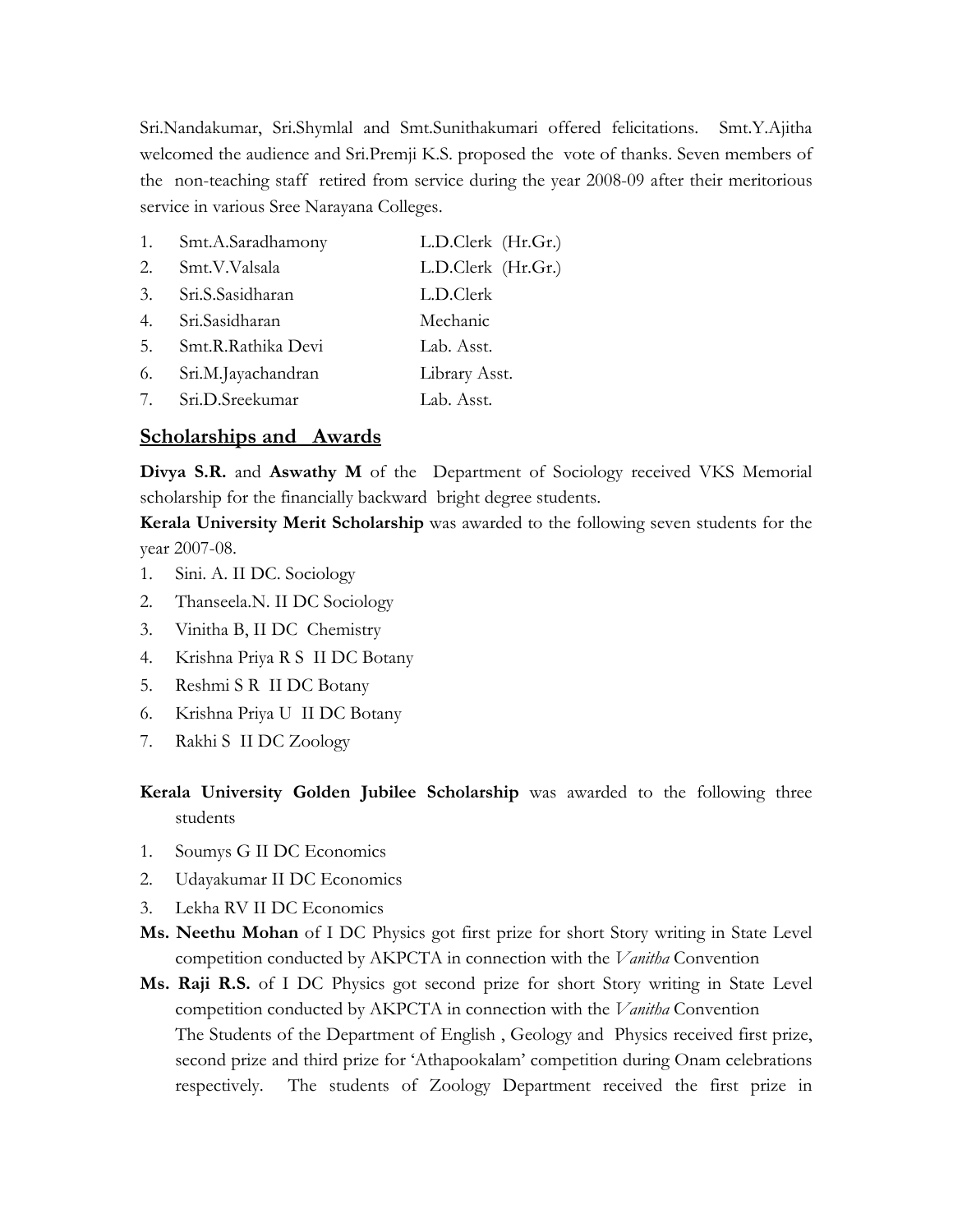Sri.Nandakumar, Sri.Shymlal and Smt.Sunithakumari offered felicitations. Smt.Y.Ajitha welcomed the audience and Sri.Premji K.S. proposed the vote of thanks. Seven members of the non-teaching staff retired from service during the year 2008-09 after their meritorious service in various Sree Narayana Colleges.

| 1. | Smt.A.Saradhamony  | L.D.Clerk (Hr.Gr.) |
|----|--------------------|--------------------|
| 2. | Smt.V.Valsala      | L.D.Clerk (Hr.Gr.) |
| 3. | Sri.S.Sasidharan   | L.D.Clerk          |
| 4. | Sri.Sasidharan     | Mechanic           |
| 5. | Smt.R.Rathika Devi | Lab. Asst.         |
| 6. | Sri.M.Jayachandran | Library Asst.      |
| 7. | Sri.D.Sreekumar    | Lab. Asst.         |
|    |                    |                    |

### **Scholarships and Awards**

**Divya S.R.** and **Aswathy M** of the Department of Sociology received VKS Memorial scholarship for the financially backward bright degree students.

**Kerala University Merit Scholarship** was awarded to the following seven students for the year 2007-08.

- 1. Sini. A. II DC. Sociology
- 2. Thanseela.N. II DC Sociology
- 3. Vinitha B, II DC Chemistry
- 4. Krishna Priya R S II DC Botany
- 5. Reshmi S R II DC Botany
- 6. Krishna Priya U II DC Botany
- 7. Rakhi S II DC Zoology

**Kerala University Golden Jubilee Scholarship** was awarded to the following three students

- 1. Soumys G II DC Economics
- 2. Udayakumar II DC Economics
- 3. Lekha RV II DC Economics
- **Ms. Neethu Mohan** of I DC Physics got first prize for short Story writing in State Level competition conducted by AKPCTA in connection with the *Vanitha* Convention
- **Ms. Raji R.S.** of I DC Physics got second prize for short Story writing in State Level competition conducted by AKPCTA in connection with the *Vanitha* Convention The Students of the Department of English , Geology and Physics received first prize, second prize and third prize for 'Athapookalam' competition during Onam celebrations respectively. The students of Zoology Department received the first prize in